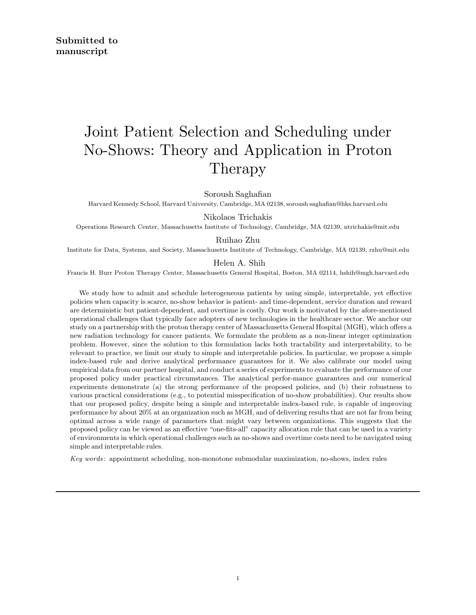# Joint Patient Selection and Scheduling under No-Shows: Theory and Application in Proton Therapy

Soroush Saghafian

Harvard Kennedy School, Harvard University, Cambridge, MA 02138, soroush saghafian@hks.harvard.edu

Nikolaos Trichakis

Operations Research Center, Massachusetts Institute of Technology, Cambridge, MA 02139, ntrichakis@mit.edu

#### Ruihao Zhu

Institute for Data, Systems, and Society, Massachusetts Institute of Technology, Cambridge, MA 02139, rzhu@mit.edu

#### Helen A. Shih

Francis H. Burr Proton Therapy Center, Massachusetts General Hospital, Boston, MA 02114, hshih@mgh.harvard.edu

We study how to admit and schedule heterogeneous patients by using simple, interpretable, yet effective policies when capacity is scarce, no-show behavior is patient- and time-dependent, service duration and reward are deterministic but patient-dependent, and overtime is costly. Our work is motivated by the afore-mentioned operational challenges that typically face adopters of new technologies in the healthcare sector. We anchor our study on a partnership with the proton therapy center of Massachusetts General Hospital (MGH), which offers a new radiation technology for cancer patients. We formulate the problem as a non-linear integer optimization problem. However, since the solution to this formulation lacks both tractability and interpretability, to be relevant to practice, we limit our study to simple and interpretable policies. In particular, we propose a simple index-based rule and derive analytical performance guarantees for it. We also calibrate our model using empirical data from our partner hospital, and conduct a series of experiments to evaluate the performance of our proposed policy under practical circumstances. The analytical perfor-mance guarantees and our numerical experiments demonstrate (a) the strong performance of the proposed policies, and (b) their robustness to various practical considerations (e.g., to potential misspecification of no-show probabilities). Our results show that our proposed policy, despite being a simple and interpretable index-based rule, is capable of improving performance by about 20% at an organization such as MGH, and of delivering results that are not far from being optimal across a wide range of parameters that might vary between organizations. This suggests that the proposed policy can be viewed as an effective "one-fits-all" capacity allocation rule that can be used in a variety of environments in which operational challenges such as no-shows and overtime costs need to be navigated using simple and interpretable rules.

Key words : appointment scheduling, non-monotone submodular maximization, no-shows, index rules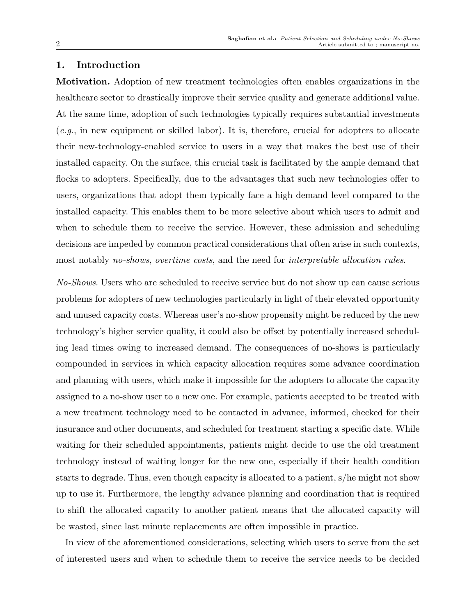# 1. Introduction

Motivation. Adoption of new treatment technologies often enables organizations in the healthcare sector to drastically improve their service quality and generate additional value. At the same time, adoption of such technologies typically requires substantial investments  $(e.g., in new equipment or skilled labor)$ . It is, therefore, crucial for adopters to allocate their new-technology-enabled service to users in a way that makes the best use of their installed capacity. On the surface, this crucial task is facilitated by the ample demand that flocks to adopters. Specifically, due to the advantages that such new technologies offer to users, organizations that adopt them typically face a high demand level compared to the installed capacity. This enables them to be more selective about which users to admit and when to schedule them to receive the service. However, these admission and scheduling decisions are impeded by common practical considerations that often arise in such contexts, most notably no-shows, overtime costs, and the need for interpretable allocation rules.

No-Shows. Users who are scheduled to receive service but do not show up can cause serious problems for adopters of new technologies particularly in light of their elevated opportunity and unused capacity costs. Whereas user's no-show propensity might be reduced by the new technology's higher service quality, it could also be offset by potentially increased scheduling lead times owing to increased demand. The consequences of no-shows is particularly compounded in services in which capacity allocation requires some advance coordination and planning with users, which make it impossible for the adopters to allocate the capacity assigned to a no-show user to a new one. For example, patients accepted to be treated with a new treatment technology need to be contacted in advance, informed, checked for their insurance and other documents, and scheduled for treatment starting a specific date. While waiting for their scheduled appointments, patients might decide to use the old treatment technology instead of waiting longer for the new one, especially if their health condition starts to degrade. Thus, even though capacity is allocated to a patient, s/he might not show up to use it. Furthermore, the lengthy advance planning and coordination that is required to shift the allocated capacity to another patient means that the allocated capacity will be wasted, since last minute replacements are often impossible in practice.

In view of the aforementioned considerations, selecting which users to serve from the set of interested users and when to schedule them to receive the service needs to be decided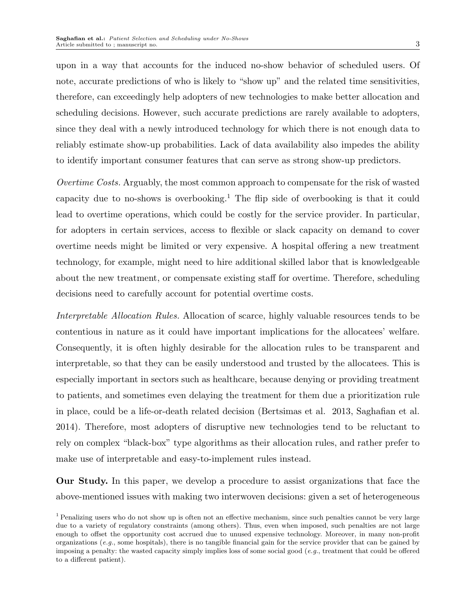upon in a way that accounts for the induced no-show behavior of scheduled users. Of note, accurate predictions of who is likely to "show up" and the related time sensitivities, therefore, can exceedingly help adopters of new technologies to make better allocation and scheduling decisions. However, such accurate predictions are rarely available to adopters, since they deal with a newly introduced technology for which there is not enough data to reliably estimate show-up probabilities. Lack of data availability also impedes the ability to identify important consumer features that can serve as strong show-up predictors.

Overtime Costs. Arguably, the most common approach to compensate for the risk of wasted capacity due to no-shows is overbooking.<sup>1</sup> The flip side of overbooking is that it could lead to overtime operations, which could be costly for the service provider. In particular, for adopters in certain services, access to flexible or slack capacity on demand to cover overtime needs might be limited or very expensive. A hospital offering a new treatment technology, for example, might need to hire additional skilled labor that is knowledgeable about the new treatment, or compensate existing staff for overtime. Therefore, scheduling decisions need to carefully account for potential overtime costs.

Interpretable Allocation Rules. Allocation of scarce, highly valuable resources tends to be contentious in nature as it could have important implications for the allocatees' welfare. Consequently, it is often highly desirable for the allocation rules to be transparent and interpretable, so that they can be easily understood and trusted by the allocatees. This is especially important in sectors such as healthcare, because denying or providing treatment to patients, and sometimes even delaying the treatment for them due a prioritization rule in place, could be a life-or-death related decision (Bertsimas et al. 2013, Saghafian et al. 2014). Therefore, most adopters of disruptive new technologies tend to be reluctant to rely on complex "black-box" type algorithms as their allocation rules, and rather prefer to make use of interpretable and easy-to-implement rules instead.

Our Study. In this paper, we develop a procedure to assist organizations that face the above-mentioned issues with making two interwoven decisions: given a set of heterogeneous

<sup>&</sup>lt;sup>1</sup> Penalizing users who do not show up is often not an effective mechanism, since such penalties cannot be very large due to a variety of regulatory constraints (among others). Thus, even when imposed, such penalties are not large enough to offset the opportunity cost accrued due to unused expensive technology. Moreover, in many non-profit organizations  $(e.g.,)$  some hospitals), there is no tangible financial gain for the service provider that can be gained by imposing a penalty: the wasted capacity simply implies loss of some social good (e.g., treatment that could be offered to a different patient).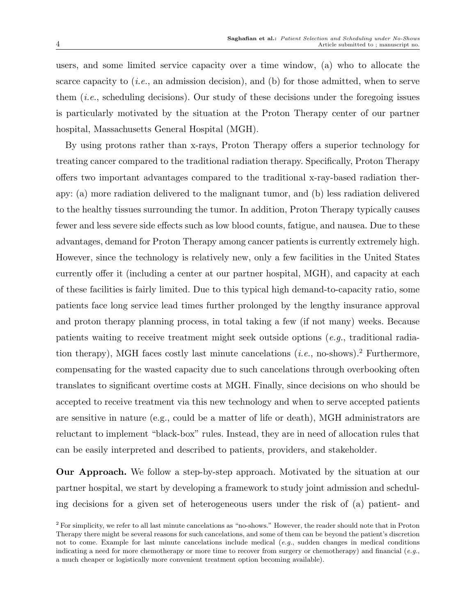users, and some limited service capacity over a time window, (a) who to allocate the scarce capacity to  $(i.e.,$  an admission decision), and (b) for those admitted, when to serve them (i.e., scheduling decisions). Our study of these decisions under the foregoing issues is particularly motivated by the situation at the Proton Therapy center of our partner hospital, Massachusetts General Hospital (MGH).

By using protons rather than x-rays, Proton Therapy offers a superior technology for treating cancer compared to the traditional radiation therapy. Specifically, Proton Therapy offers two important advantages compared to the traditional x-ray-based radiation therapy: (a) more radiation delivered to the malignant tumor, and (b) less radiation delivered to the healthy tissues surrounding the tumor. In addition, Proton Therapy typically causes fewer and less severe side effects such as low blood counts, fatigue, and nausea. Due to these advantages, demand for Proton Therapy among cancer patients is currently extremely high. However, since the technology is relatively new, only a few facilities in the United States currently offer it (including a center at our partner hospital, MGH), and capacity at each of these facilities is fairly limited. Due to this typical high demand-to-capacity ratio, some patients face long service lead times further prolonged by the lengthy insurance approval and proton therapy planning process, in total taking a few (if not many) weeks. Because patients waiting to receive treatment might seek outside options (e.g., traditional radiation therapy), MGH faces costly last minute cancelations  $(i.e.,$  no-shows).<sup>2</sup> Furthermore, compensating for the wasted capacity due to such cancelations through overbooking often translates to significant overtime costs at MGH. Finally, since decisions on who should be accepted to receive treatment via this new technology and when to serve accepted patients are sensitive in nature (e.g., could be a matter of life or death), MGH administrators are reluctant to implement "black-box" rules. Instead, they are in need of allocation rules that can be easily interpreted and described to patients, providers, and stakeholder.

Our Approach. We follow a step-by-step approach. Motivated by the situation at our partner hospital, we start by developing a framework to study joint admission and scheduling decisions for a given set of heterogeneous users under the risk of (a) patient- and

<sup>2</sup> For simplicity, we refer to all last minute cancelations as "no-shows." However, the reader should note that in Proton Therapy there might be several reasons for such cancelations, and some of them can be beyond the patient's discretion not to come. Example for last minute cancelations include medical (e.g., sudden changes in medical conditions indicating a need for more chemotherapy or more time to recover from surgery or chemotherapy) and financial (e.g., a much cheaper or logistically more convenient treatment option becoming available).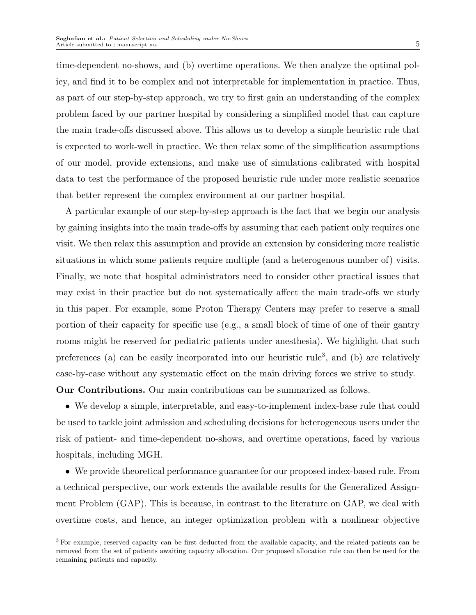time-dependent no-shows, and (b) overtime operations. We then analyze the optimal policy, and find it to be complex and not interpretable for implementation in practice. Thus, as part of our step-by-step approach, we try to first gain an understanding of the complex problem faced by our partner hospital by considering a simplified model that can capture the main trade-offs discussed above. This allows us to develop a simple heuristic rule that is expected to work-well in practice. We then relax some of the simplification assumptions of our model, provide extensions, and make use of simulations calibrated with hospital data to test the performance of the proposed heuristic rule under more realistic scenarios that better represent the complex environment at our partner hospital.

A particular example of our step-by-step approach is the fact that we begin our analysis by gaining insights into the main trade-offs by assuming that each patient only requires one visit. We then relax this assumption and provide an extension by considering more realistic situations in which some patients require multiple (and a heterogenous number of) visits. Finally, we note that hospital administrators need to consider other practical issues that may exist in their practice but do not systematically affect the main trade-offs we study in this paper. For example, some Proton Therapy Centers may prefer to reserve a small portion of their capacity for specific use (e.g., a small block of time of one of their gantry rooms might be reserved for pediatric patients under anesthesia). We highlight that such preferences (a) can be easily incorporated into our heuristic rule<sup>3</sup>, and (b) are relatively case-by-case without any systematic effect on the main driving forces we strive to study.

Our Contributions. Our main contributions can be summarized as follows.

• We develop a simple, interpretable, and easy-to-implement index-base rule that could be used to tackle joint admission and scheduling decisions for heterogeneous users under the risk of patient- and time-dependent no-shows, and overtime operations, faced by various hospitals, including MGH.

• We provide theoretical performance guarantee for our proposed index-based rule. From a technical perspective, our work extends the available results for the Generalized Assignment Problem (GAP). This is because, in contrast to the literature on GAP, we deal with overtime costs, and hence, an integer optimization problem with a nonlinear objective

<sup>3</sup> For example, reserved capacity can be first deducted from the available capacity, and the related patients can be removed from the set of patients awaiting capacity allocation. Our proposed allocation rule can then be used for the remaining patients and capacity.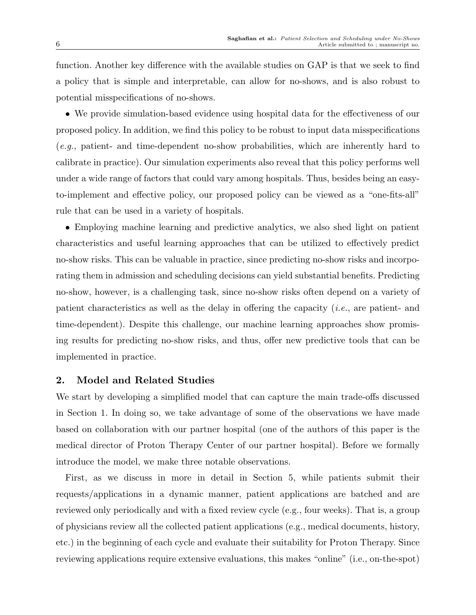function. Another key difference with the available studies on GAP is that we seek to find a policy that is simple and interpretable, can allow for no-shows, and is also robust to potential misspecifications of no-shows.

• We provide simulation-based evidence using hospital data for the effectiveness of our proposed policy. In addition, we find this policy to be robust to input data misspecifications (e.g., patient- and time-dependent no-show probabilities, which are inherently hard to calibrate in practice). Our simulation experiments also reveal that this policy performs well under a wide range of factors that could vary among hospitals. Thus, besides being an easyto-implement and effective policy, our proposed policy can be viewed as a "one-fits-all" rule that can be used in a variety of hospitals.

• Employing machine learning and predictive analytics, we also shed light on patient characteristics and useful learning approaches that can be utilized to effectively predict no-show risks. This can be valuable in practice, since predicting no-show risks and incorporating them in admission and scheduling decisions can yield substantial benefits. Predicting no-show, however, is a challenging task, since no-show risks often depend on a variety of patient characteristics as well as the delay in offering the capacity (i.e., are patient- and time-dependent). Despite this challenge, our machine learning approaches show promising results for predicting no-show risks, and thus, offer new predictive tools that can be implemented in practice.

## 2. Model and Related Studies

We start by developing a simplified model that can capture the main trade-offs discussed in Section 1. In doing so, we take advantage of some of the observations we have made based on collaboration with our partner hospital (one of the authors of this paper is the medical director of Proton Therapy Center of our partner hospital). Before we formally introduce the model, we make three notable observations.

First, as we discuss in more in detail in Section 5, while patients submit their requests/applications in a dynamic manner, patient applications are batched and are reviewed only periodically and with a fixed review cycle (e.g., four weeks). That is, a group of physicians review all the collected patient applications (e.g., medical documents, history, etc.) in the beginning of each cycle and evaluate their suitability for Proton Therapy. Since reviewing applications require extensive evaluations, this makes "online" (i.e., on-the-spot)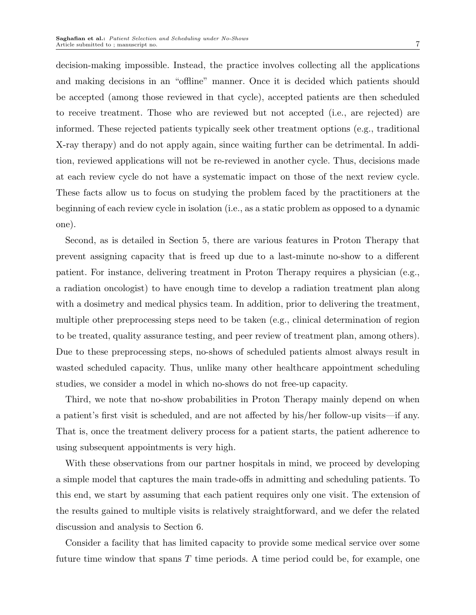decision-making impossible. Instead, the practice involves collecting all the applications and making decisions in an "offline" manner. Once it is decided which patients should be accepted (among those reviewed in that cycle), accepted patients are then scheduled to receive treatment. Those who are reviewed but not accepted (i.e., are rejected) are informed. These rejected patients typically seek other treatment options (e.g., traditional X-ray therapy) and do not apply again, since waiting further can be detrimental. In addition, reviewed applications will not be re-reviewed in another cycle. Thus, decisions made at each review cycle do not have a systematic impact on those of the next review cycle. These facts allow us to focus on studying the problem faced by the practitioners at the beginning of each review cycle in isolation (i.e., as a static problem as opposed to a dynamic one).

Second, as is detailed in Section 5, there are various features in Proton Therapy that prevent assigning capacity that is freed up due to a last-minute no-show to a different patient. For instance, delivering treatment in Proton Therapy requires a physician (e.g., a radiation oncologist) to have enough time to develop a radiation treatment plan along with a dosimetry and medical physics team. In addition, prior to delivering the treatment, multiple other preprocessing steps need to be taken (e.g., clinical determination of region to be treated, quality assurance testing, and peer review of treatment plan, among others). Due to these preprocessing steps, no-shows of scheduled patients almost always result in wasted scheduled capacity. Thus, unlike many other healthcare appointment scheduling studies, we consider a model in which no-shows do not free-up capacity.

Third, we note that no-show probabilities in Proton Therapy mainly depend on when a patient's first visit is scheduled, and are not affected by his/her follow-up visits—if any. That is, once the treatment delivery process for a patient starts, the patient adherence to using subsequent appointments is very high.

With these observations from our partner hospitals in mind, we proceed by developing a simple model that captures the main trade-offs in admitting and scheduling patients. To this end, we start by assuming that each patient requires only one visit. The extension of the results gained to multiple visits is relatively straightforward, and we defer the related discussion and analysis to Section 6.

Consider a facility that has limited capacity to provide some medical service over some future time window that spans  $T$  time periods. A time period could be, for example, one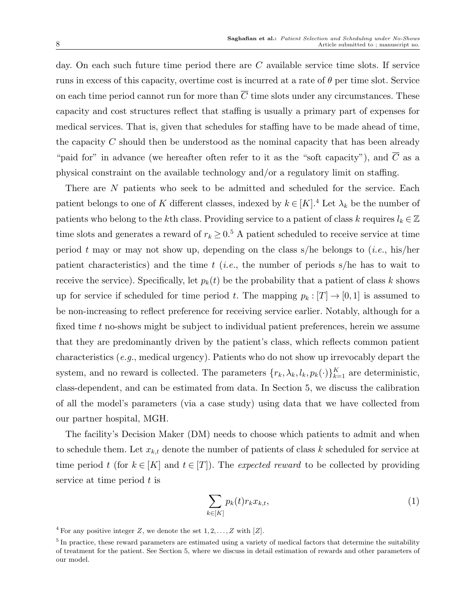day. On each such future time period there are  $C$  available service time slots. If service runs in excess of this capacity, overtime cost is incurred at a rate of  $\theta$  per time slot. Service on each time period cannot run for more than  $\overline{C}$  time slots under any circumstances. These capacity and cost structures reflect that staffing is usually a primary part of expenses for medical services. That is, given that schedules for staffing have to be made ahead of time, the capacity  $C$  should then be understood as the nominal capacity that has been already "paid for" in advance (we hereafter often refer to it as the "soft capacity"), and  $\overline{C}$  as a physical constraint on the available technology and/or a regulatory limit on staffing.

There are N patients who seek to be admitted and scheduled for the service. Each patient belongs to one of K different classes, indexed by  $k \in [K]^4$ . Let  $\lambda_k$  be the number of patients who belong to the kth class. Providing service to a patient of class k requires  $l_k \in \mathbb{Z}$ time slots and generates a reward of  $r_k \geq 0.5$  A patient scheduled to receive service at time period t may or may not show up, depending on the class s/he belongs to  $(i.e.,$  his/her patient characteristics) and the time  $t$  (*i.e.*, the number of periods s/he has to wait to receive the service). Specifically, let  $p_k(t)$  be the probability that a patient of class k shows up for service if scheduled for time period t. The mapping  $p_k : [T] \to [0,1]$  is assumed to be non-increasing to reflect preference for receiving service earlier. Notably, although for a fixed time t no-shows might be subject to individual patient preferences, herein we assume that they are predominantly driven by the patient's class, which reflects common patient characteristics (e.g., medical urgency). Patients who do not show up irrevocably depart the system, and no reward is collected. The parameters  $\{r_k, \lambda_k, l_k, p_k(\cdot)\}_{k=1}^K$  are deterministic, class-dependent, and can be estimated from data. In Section 5, we discuss the calibration of all the model's parameters (via a case study) using data that we have collected from our partner hospital, MGH.

The facility's Decision Maker (DM) needs to choose which patients to admit and when to schedule them. Let  $x_{k,t}$  denote the number of patients of class k scheduled for service at time period t (for  $k \in [K]$  and  $t \in [T]$ ). The *expected reward* to be collected by providing service at time period  $t$  is

$$
\sum_{k \in [K]} p_k(t) r_k x_{k,t},\tag{1}
$$

<sup>&</sup>lt;sup>4</sup> For any positive integer Z, we denote the set  $1, 2, \ldots, Z$  with [Z].

<sup>&</sup>lt;sup>5</sup> In practice, these reward parameters are estimated using a variety of medical factors that determine the suitability of treatment for the patient. See Section 5, where we discuss in detail estimation of rewards and other parameters of our model.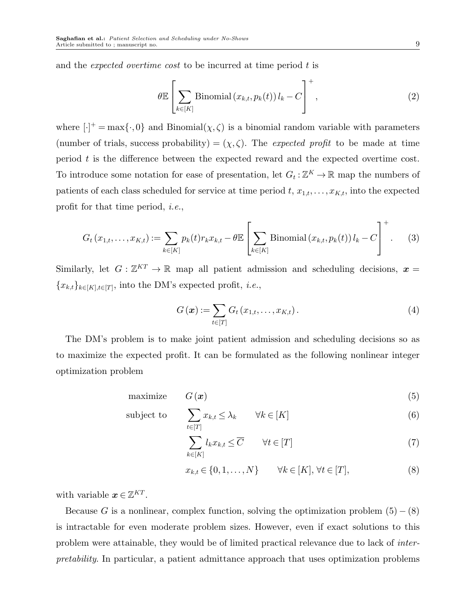and the expected overtime cost to be incurred at time period t is

$$
\theta \mathbb{E}\left[\sum_{k \in [K]} \text{Binomial}\left(x_{k,t}, p_k(t)\right)l_k - C\right]^+,
$$
\n(2)

where  $[\cdot]^+$  = max $\{\cdot, 0\}$  and Binomial $(\chi, \zeta)$  is a binomial random variable with parameters (number of trials, success probability) =  $(\chi, \zeta)$ . The *expected profit* to be made at time period t is the difference between the expected reward and the expected overtime cost. To introduce some notation for ease of presentation, let  $G_t: \mathbb{Z}^K \to \mathbb{R}$  map the numbers of patients of each class scheduled for service at time period  $t, x_{1,t}, \ldots, x_{K,t}$ , into the expected profit for that time period, i.e.,

$$
G_t(x_{1,t},...,x_{K,t}) := \sum_{k \in [K]} p_k(t)r_k x_{k,t} - \theta \mathbb{E} \left[ \sum_{k \in [K]} \text{Binomial}(x_{k,t}, p_k(t)) l_k - C \right]^+.
$$
 (3)

Similarly, let  $G: \mathbb{Z}^{KT} \to \mathbb{R}$  map all patient admission and scheduling decisions,  $x =$  ${x_{k,t}}_{k\in[K],t\in[T]}$ , into the DM's expected profit, *i.e.*,

$$
G(\boldsymbol{x}) := \sum_{t \in [T]} G_t(x_{1,t}, \dots, x_{K,t}). \tag{4}
$$

The DM's problem is to make joint patient admission and scheduling decisions so as to maximize the expected profit. It can be formulated as the following nonlinear integer optimization problem

$$
maximize \tG(\boldsymbol{x}) \t\t(5)
$$

subject to 
$$
\sum_{t \in [T]} x_{k,t} \leq \lambda_k \qquad \forall k \in [K]
$$
 (6)

$$
\sum_{k \in [K]} l_k x_{k,t} \leq \overline{C} \qquad \forall t \in [T]
$$
\n(7)

$$
x_{k,t} \in \{0, 1, \dots, N\} \qquad \forall k \in [K], \forall t \in [T], \tag{8}
$$

with variable  $x \in \mathbb{Z}^{KT}$ .

Because G is a nonlinear, complex function, solving the optimization problem  $(5) - (8)$ is intractable for even moderate problem sizes. However, even if exact solutions to this problem were attainable, they would be of limited practical relevance due to lack of interpretability. In particular, a patient admittance approach that uses optimization problems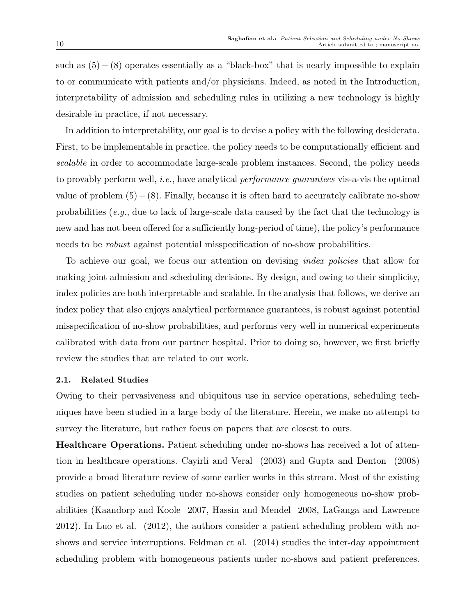such as  $(5) - (8)$  operates essentially as a "black-box" that is nearly impossible to explain to or communicate with patients and/or physicians. Indeed, as noted in the Introduction, interpretability of admission and scheduling rules in utilizing a new technology is highly desirable in practice, if not necessary.

In addition to interpretability, our goal is to devise a policy with the following desiderata. First, to be implementable in practice, the policy needs to be computationally efficient and scalable in order to accommodate large-scale problem instances. Second, the policy needs to provably perform well, *i.e.*, have analytical *performance guarantees* vis-a-vis the optimal value of problem  $(5) - (8)$ . Finally, because it is often hard to accurately calibrate no-show probabilities (e.g., due to lack of large-scale data caused by the fact that the technology is new and has not been offered for a sufficiently long-period of time), the policy's performance needs to be robust against potential misspecification of no-show probabilities.

To achieve our goal, we focus our attention on devising index policies that allow for making joint admission and scheduling decisions. By design, and owing to their simplicity, index policies are both interpretable and scalable. In the analysis that follows, we derive an index policy that also enjoys analytical performance guarantees, is robust against potential misspecification of no-show probabilities, and performs very well in numerical experiments calibrated with data from our partner hospital. Prior to doing so, however, we first briefly review the studies that are related to our work.

#### 2.1. Related Studies

Owing to their pervasiveness and ubiquitous use in service operations, scheduling techniques have been studied in a large body of the literature. Herein, we make no attempt to survey the literature, but rather focus on papers that are closest to ours.

Healthcare Operations. Patient scheduling under no-shows has received a lot of attention in healthcare operations. Cayirli and Veral (2003) and Gupta and Denton (2008) provide a broad literature review of some earlier works in this stream. Most of the existing studies on patient scheduling under no-shows consider only homogeneous no-show probabilities (Kaandorp and Koole 2007, Hassin and Mendel 2008, LaGanga and Lawrence 2012). In Luo et al. (2012), the authors consider a patient scheduling problem with noshows and service interruptions. Feldman et al. (2014) studies the inter-day appointment scheduling problem with homogeneous patients under no-shows and patient preferences.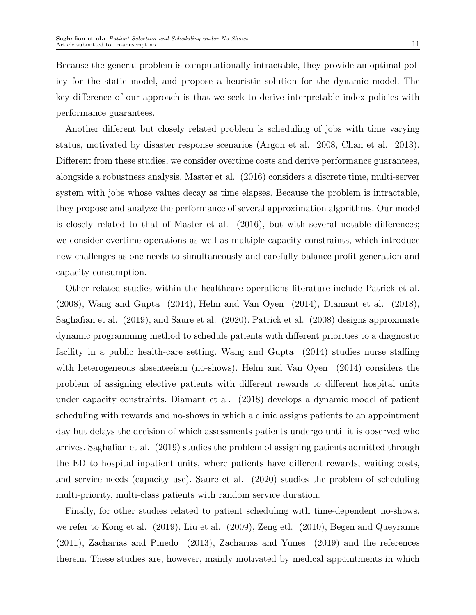Because the general problem is computationally intractable, they provide an optimal policy for the static model, and propose a heuristic solution for the dynamic model. The key difference of our approach is that we seek to derive interpretable index policies with performance guarantees.

Another different but closely related problem is scheduling of jobs with time varying status, motivated by disaster response scenarios (Argon et al. 2008, Chan et al. 2013). Different from these studies, we consider overtime costs and derive performance guarantees, alongside a robustness analysis. Master et al. (2016) considers a discrete time, multi-server system with jobs whose values decay as time elapses. Because the problem is intractable, they propose and analyze the performance of several approximation algorithms. Our model is closely related to that of Master et al. (2016), but with several notable differences; we consider overtime operations as well as multiple capacity constraints, which introduce new challenges as one needs to simultaneously and carefully balance profit generation and capacity consumption.

Other related studies within the healthcare operations literature include Patrick et al. (2008), Wang and Gupta (2014), Helm and Van Oyen (2014), Diamant et al. (2018), Saghafian et al. (2019), and Saure et al. (2020). Patrick et al. (2008) designs approximate dynamic programming method to schedule patients with different priorities to a diagnostic facility in a public health-care setting. Wang and Gupta (2014) studies nurse staffing with heterogeneous absenteeism (no-shows). Helm and Van Oyen (2014) considers the problem of assigning elective patients with different rewards to different hospital units under capacity constraints. Diamant et al. (2018) develops a dynamic model of patient scheduling with rewards and no-shows in which a clinic assigns patients to an appointment day but delays the decision of which assessments patients undergo until it is observed who arrives. Saghafian et al. (2019) studies the problem of assigning patients admitted through the ED to hospital inpatient units, where patients have different rewards, waiting costs, and service needs (capacity use). Saure et al. (2020) studies the problem of scheduling multi-priority, multi-class patients with random service duration.

Finally, for other studies related to patient scheduling with time-dependent no-shows, we refer to Kong et al. (2019), Liu et al. (2009), Zeng etl. (2010), Begen and Queyranne (2011), Zacharias and Pinedo (2013), Zacharias and Yunes (2019) and the references therein. These studies are, however, mainly motivated by medical appointments in which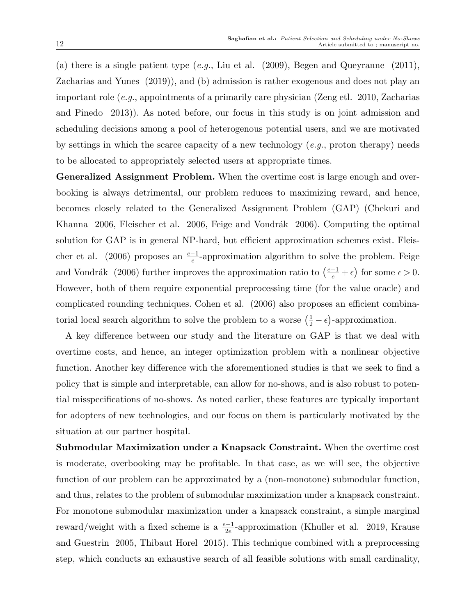(a) there is a single patient type  $(e.g., Liu$  et al.  $(2009), Begen$  and Queyranne  $(2011),$ Zacharias and Yunes (2019)), and (b) admission is rather exogenous and does not play an important role (e.g., appointments of a primarily care physician (Zeng etl. 2010, Zacharias and Pinedo 2013)). As noted before, our focus in this study is on joint admission and scheduling decisions among a pool of heterogenous potential users, and we are motivated by settings in which the scarce capacity of a new technology  $(e.g., \text{ proton therapy})$  needs to be allocated to appropriately selected users at appropriate times.

Generalized Assignment Problem. When the overtime cost is large enough and overbooking is always detrimental, our problem reduces to maximizing reward, and hence, becomes closely related to the Generalized Assignment Problem (GAP) (Chekuri and Khanna  $2006$ , Fleischer et al.  $2006$ , Feige and Vondrák  $2006$ ). Computing the optimal solution for GAP is in general NP-hard, but efficient approximation schemes exist. Fleischer et al. (2006) proposes an  $\frac{e-1}{e}$ -approximation algorithm to solve the problem. Feige and Vondrák (2006) further improves the approximation ratio to  $\left(\frac{e-1}{e} + \epsilon\right)$  for some  $\epsilon > 0$ . However, both of them require exponential preprocessing time (for the value oracle) and complicated rounding techniques. Cohen et al. (2006) also proposes an efficient combinatorial local search algorithm to solve the problem to a worse  $(\frac{1}{2} - \epsilon)$ -approximation.

A key difference between our study and the literature on GAP is that we deal with overtime costs, and hence, an integer optimization problem with a nonlinear objective function. Another key difference with the aforementioned studies is that we seek to find a policy that is simple and interpretable, can allow for no-shows, and is also robust to potential misspecifications of no-shows. As noted earlier, these features are typically important for adopters of new technologies, and our focus on them is particularly motivated by the situation at our partner hospital.

Submodular Maximization under a Knapsack Constraint. When the overtime cost is moderate, overbooking may be profitable. In that case, as we will see, the objective function of our problem can be approximated by a (non-monotone) submodular function, and thus, relates to the problem of submodular maximization under a knapsack constraint. For monotone submodular maximization under a knapsack constraint, a simple marginal reward/weight with a fixed scheme is a  $\frac{e-1}{2e}$ -approximation (Khuller et al. 2019, Krause and Guestrin 2005, Thibaut Horel 2015). This technique combined with a preprocessing step, which conducts an exhaustive search of all feasible solutions with small cardinality,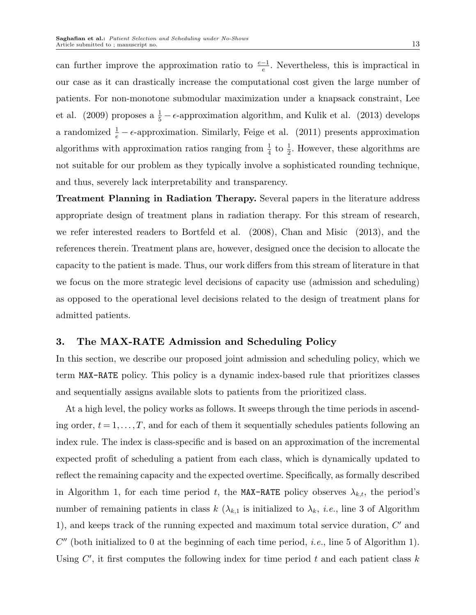can further improve the approximation ratio to  $\frac{e-1}{e}$ . Nevertheless, this is impractical in our case as it can drastically increase the computational cost given the large number of patients. For non-monotone submodular maximization under a knapsack constraint, Lee et al. (2009) proposes a  $\frac{1}{5} - \epsilon$ -approximation algorithm, and Kulik et al. (2013) develops a randomized  $\frac{1}{e} - \epsilon$ -approximation. Similarly, Feige et al. (2011) presents approximation algorithms with approximation ratios ranging from  $\frac{1}{4}$  to  $\frac{1}{2}$ . However, these algorithms are not suitable for our problem as they typically involve a sophisticated rounding technique, and thus, severely lack interpretability and transparency.

Treatment Planning in Radiation Therapy. Several papers in the literature address appropriate design of treatment plans in radiation therapy. For this stream of research, we refer interested readers to Bortfeld et al. (2008), Chan and Misic (2013), and the references therein. Treatment plans are, however, designed once the decision to allocate the capacity to the patient is made. Thus, our work differs from this stream of literature in that we focus on the more strategic level decisions of capacity use (admission and scheduling) as opposed to the operational level decisions related to the design of treatment plans for admitted patients.

## 3. The MAX-RATE Admission and Scheduling Policy

In this section, we describe our proposed joint admission and scheduling policy, which we term MAX-RATE policy. This policy is a dynamic index-based rule that prioritizes classes and sequentially assigns available slots to patients from the prioritized class.

At a high level, the policy works as follows. It sweeps through the time periods in ascending order,  $t = 1, \ldots, T$ , and for each of them it sequentially schedules patients following an index rule. The index is class-specific and is based on an approximation of the incremental expected profit of scheduling a patient from each class, which is dynamically updated to reflect the remaining capacity and the expected overtime. Specifically, as formally described in Algorithm 1, for each time period t, the MAX-RATE policy observes  $\lambda_{k,t}$ , the period's number of remaining patients in class  $k$  ( $\lambda_{k,1}$  is initialized to  $\lambda_k$ , *i.e.*, line 3 of Algorithm 1), and keeps track of the running expected and maximum total service duration,  $C'$  and  $C''$  (both initialized to 0 at the beginning of each time period, *i.e.*, line 5 of Algorithm 1). Using  $C'$ , it first computes the following index for time period  $t$  and each patient class  $k$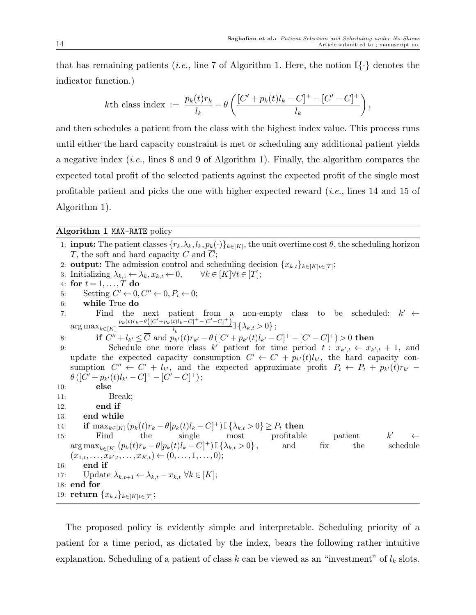that has remaining patients (*i.e.*, line 7 of Algorithm 1. Here, the notion  $\mathbb{I}\{\cdot\}$  denotes the indicator function.)

$$
k\text{th class index} := \frac{p_k(t)r_k}{l_k} - \theta \left( \frac{[C' + p_k(t)l_k - C]^+ - [C' - C]^+}{l_k} \right),
$$

and then schedules a patient from the class with the highest index value. This process runs until either the hard capacity constraint is met or scheduling any additional patient yields a negative index (*i.e.*, lines 8 and 9 of Algorithm 1). Finally, the algorithm compares the expected total profit of the selected patients against the expected profit of the single most profitable patient and picks the one with higher expected reward (i.e., lines 14 and 15 of Algorithm 1).

#### Algorithm 1 MAX-RATE policy

1: **input:** The patient classes  $\{r_k.\lambda_k, l_k, p_k(\cdot)\}_{k\in[K]}$ , the unit overtime cost  $\theta$ , the scheduling horizon  $T$ , the soft and hard capacity  $C$  and  $C$ ; 2: **output:** The admission control and scheduling decision  $\{x_{k,t}\}_{k\in[K]}\in[T]$ ; 3: Initializing  $\lambda_{k,1} \leftarrow \lambda_k, x_{k,t} \leftarrow 0, \quad \forall k \in [K] \forall t \in [T];$ 4: for  $t = 1, \ldots, T$  do 5: Setting  $C' \leftarrow 0, C'' \leftarrow 0, P_t \leftarrow 0;$ 6: while True do 7: Find the next patient from a non-empty class to be scheduled:  $k' \leftarrow$  $\arg \max_{k \in [K]}$  $\frac{p_k(t)r_k-\theta\left([C'+p_k(t)l_k-C]^+-[C'-C]^+ \right)}{l_k} \mathbb{I} \left\{\lambda_{k,t} > 0 \right\};$  $l_k$ 8: if  $C'' + l_{k'} \leq \overline{C}$  and  $p_{k'}(t)r_{k'} - \theta ( [C' + p_{k'}(t)l_{k'} - C]^+ - [C' - C]^+ ) > 0$  then 9: Schedule one more class k' patient for time period  $t: x_{k',t} \leftarrow x_{k',t} + 1$ , and update the expected capacity consumption  $C' \leftarrow C' + p_{k'}(t)l_{k'}$ , the hard capacity consumption  $C'' \leftarrow C' + l_{k'}$ , and the expected approximate profit  $P_t \leftarrow P_t + p_{k'}(t)r_{k'}$  $\theta\left([C' + p_{k'}(t)l_{k'} - C]^{+} - [C' - C]^{+}\right);$ 10: else 11: Break; 12: end if 13: end while 14: **if**  $\max_{k \in [K]} (p_k(t)r_k - \theta[p_k(t)l_k - C]^+) \mathbb{I} \{\lambda_{k,t} > 0\} \ge P_t$  then 15: Find the single most profitable patient  $k$  $k'$  ←  $\arg \max_{k \in [K]} (p_k(t)r_k - \theta[p_k(t)l_k - C]^+) \mathbb{I} \{ \lambda_{k,t} > 0 \},$  and fix the schedule  $(x_{1,t},\ldots,x_{k',t},\ldots,x_{K,t}) \leftarrow (0,\ldots,1,\ldots,0);$ 16: end if 17: Update  $\lambda_{k,t+1} \leftarrow \lambda_{k,t} - x_{k,t} \ \forall k \in [K];$ 18: end for 19: **return**  ${x_{k,t}}_{k\in[K]}\in[T]$ ;

The proposed policy is evidently simple and interpretable. Scheduling priority of a patient for a time period, as dictated by the index, bears the following rather intuitive explanation. Scheduling of a patient of class k can be viewed as an "investment" of  $l_k$  slots.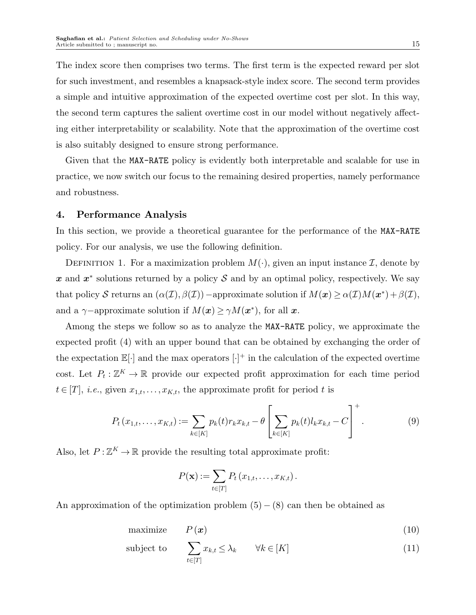The index score then comprises two terms. The first term is the expected reward per slot for such investment, and resembles a knapsack-style index score. The second term provides a simple and intuitive approximation of the expected overtime cost per slot. In this way, the second term captures the salient overtime cost in our model without negatively affecting either interpretability or scalability. Note that the approximation of the overtime cost is also suitably designed to ensure strong performance.

Given that the MAX-RATE policy is evidently both interpretable and scalable for use in practice, we now switch our focus to the remaining desired properties, namely performance and robustness.

#### 4. Performance Analysis

In this section, we provide a theoretical guarantee for the performance of the MAX-RATE policy. For our analysis, we use the following definition.

DEFINITION 1. For a maximization problem  $M(\cdot)$ , given an input instance  $\mathcal{I}$ , denote by x and  $x^*$  solutions returned by a policy S and by an optimal policy, respectively. We say that policy S returns an  $(\alpha(\mathcal{I}), \beta(\mathcal{I}))$  –approximate solution if  $M(\bm{x}) \geq \alpha(\mathcal{I})M(\bm{x}^*) + \beta(\mathcal{I}),$ and a  $\gamma$ -approximate solution if  $M(\boldsymbol{x}) \geq \gamma M(\boldsymbol{x}^*)$ , for all  $\boldsymbol{x}$ .

Among the steps we follow so as to analyze the MAX-RATE policy, we approximate the expected profit (4) with an upper bound that can be obtained by exchanging the order of the expectation  $\mathbb{E}[\cdot]$  and the max operators  $[\cdot]^+$  in the calculation of the expected overtime cost. Let  $P_t: \mathbb{Z}^K \to \mathbb{R}$  provide our expected profit approximation for each time period  $t \in [T], i.e., given  $x_{1,t}, \ldots, x_{K,t}$ , the approximate profit for period t is$ 

$$
P_t(x_{1,t},\ldots,x_{K,t}) := \sum_{k\in[K]} p_k(t)r_k x_{k,t} - \theta \left[ \sum_{k\in[K]} p_k(t)l_k x_{k,t} - C \right]^+.
$$
 (9)

Also, let  $P: \mathbb{Z}^K \to \mathbb{R}$  provide the resulting total approximate profit:

$$
P(\mathbf{x}) := \sum_{t \in [T]} P_t(x_{1,t}, \ldots, x_{K,t}).
$$

An approximation of the optimization problem  $(5) - (8)$  can then be obtained as

maximize  $P(x)$  (10)

subject to 
$$
\sum_{t \in [T]} x_{k,t} \leq \lambda_k \qquad \forall k \in [K]
$$
 (11)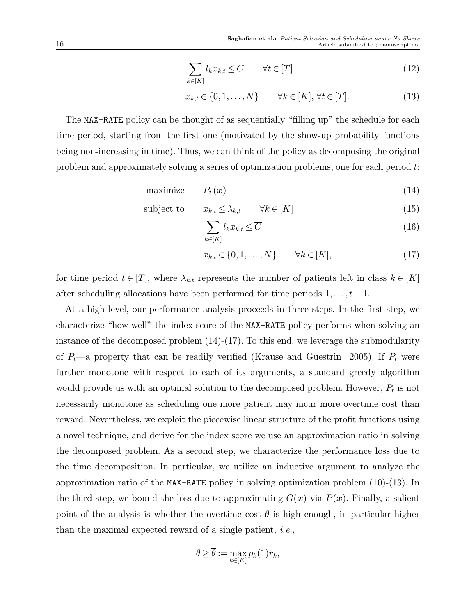$$
\sum_{k \in [K]} l_k x_{k,t} \leq \overline{C} \qquad \forall t \in [T]
$$
\n(12)

$$
x_{k,t} \in \{0, 1, \dots, N\} \qquad \forall k \in [K], \forall t \in [T]. \tag{13}
$$

The MAX-RATE policy can be thought of as sequentially "filling up" the schedule for each time period, starting from the first one (motivated by the show-up probability functions being non-increasing in time). Thus, we can think of the policy as decomposing the original problem and approximately solving a series of optimization problems, one for each period t:

maximize  $P_t(\mathbf{x})$  (14)

$$
subject to \t x_{k,t} \leq \lambda_{k,t} \t \forall k \in [K] \t (15)
$$

$$
\sum_{k \in [K]} l_k x_{k,t} \leq \overline{C} \tag{16}
$$

$$
x_{k,t} \in \{0, 1, \dots, N\} \qquad \forall k \in [K], \tag{17}
$$

for time period  $t \in [T]$ , where  $\lambda_{k,t}$  represents the number of patients left in class  $k \in [K]$ after scheduling allocations have been performed for time periods  $1, \ldots, t-1$ .

At a high level, our performance analysis proceeds in three steps. In the first step, we characterize "how well" the index score of the MAX-RATE policy performs when solving an instance of the decomposed problem (14)-(17). To this end, we leverage the submodularity of  $P_t$ —a property that can be readily verified (Krause and Guestrin 2005). If  $P_t$  were further monotone with respect to each of its arguments, a standard greedy algorithm would provide us with an optimal solution to the decomposed problem. However,  $P_t$  is not necessarily monotone as scheduling one more patient may incur more overtime cost than reward. Nevertheless, we exploit the piecewise linear structure of the profit functions using a novel technique, and derive for the index score we use an approximation ratio in solving the decomposed problem. As a second step, we characterize the performance loss due to the time decomposition. In particular, we utilize an inductive argument to analyze the approximation ratio of the MAX-RATE policy in solving optimization problem (10)-(13). In the third step, we bound the loss due to approximating  $G(\mathbf{x})$  via  $P(\mathbf{x})$ . Finally, a salient point of the analysis is whether the overtime cost  $\theta$  is high enough, in particular higher than the maximal expected reward of a single patient, i.e.,

$$
\theta \geq \overline{\theta} := \max_{k \in [K]} p_k(1)r_k,
$$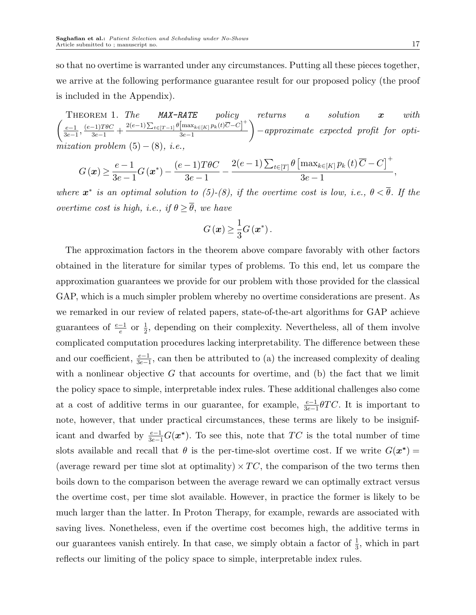$\sqrt{ }$ THEOREM 1. The MAX-RATE policy returns a solution  $x$  with  $_{e-1}$  $\frac{e-1}{3e-1}, \frac{(e-1)T\theta C}{3e-1} + \frac{2(e-1)\sum_{t\in[T-1]}\theta \left[\max_{k\in[K]} p_k(t)\overline{C}-C\right]^+}{3e-1}$ 3e−1  $\setminus$ −approximate expected profit for optimization problem  $(5) - (8)$ , i.e.,

$$
G\left(\boldsymbol{x}\right) \geq \frac{e-1}{3e-1}G\left(\boldsymbol{x}^*\right)-\frac{(e-1)T\theta C}{3e-1}-\frac{2(e-1)\sum_{t\in[T]}\theta\left[\max_{k\in[K]}p_k\left(t\right)\overline{C}-C\right]^+}{3e-1},
$$

where  $x^*$  is an optimal solution to (5)-(8), if the overtime cost is low, i.e.,  $\theta < \overline{\theta}$ . If the overtime cost is high, i.e., if  $\theta \geq \overline{\theta}$ , we have

$$
G\left(\boldsymbol{x}\right) \geq \frac{1}{3}G\left(\boldsymbol{x}^{*}\right).
$$

The approximation factors in the theorem above compare favorably with other factors obtained in the literature for similar types of problems. To this end, let us compare the approximation guarantees we provide for our problem with those provided for the classical GAP, which is a much simpler problem whereby no overtime considerations are present. As we remarked in our review of related papers, state-of-the-art algorithms for GAP achieve guarantees of  $\frac{e-1}{e}$  or  $\frac{1}{2}$ , depending on their complexity. Nevertheless, all of them involve complicated computation procedures lacking interpretability. The difference between these and our coefficient,  $\frac{e-1}{3e-1}$ , can then be attributed to (a) the increased complexity of dealing with a nonlinear objective  $G$  that accounts for overtime, and (b) the fact that we limit the policy space to simple, interpretable index rules. These additional challenges also come at a cost of additive terms in our guarantee, for example,  $\frac{e-1}{3e-1}\theta TC$ . It is important to note, however, that under practical circumstances, these terms are likely to be insignificant and dwarfed by  $\frac{e-1}{3e-1}G(\boldsymbol{x}^*)$ . To see this, note that  $TC$  is the total number of time slots available and recall that  $\theta$  is the per-time-slot overtime cost. If we write  $G(\mathbf{x}^*) =$ (average reward per time slot at optimality)  $\times TC$ , the comparison of the two terms then boils down to the comparison between the average reward we can optimally extract versus the overtime cost, per time slot available. However, in practice the former is likely to be much larger than the latter. In Proton Therapy, for example, rewards are associated with saving lives. Nonetheless, even if the overtime cost becomes high, the additive terms in our guarantees vanish entirely. In that case, we simply obtain a factor of  $\frac{1}{3}$ , which in part reflects our limiting of the policy space to simple, interpretable index rules.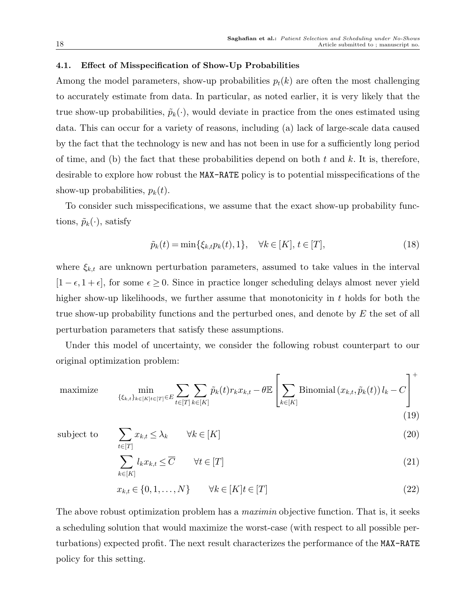#### 4.1. Effect of Misspecification of Show-Up Probabilities

Among the model parameters, show-up probabilities  $p_t(k)$  are often the most challenging to accurately estimate from data. In particular, as noted earlier, it is very likely that the true show-up probabilities,  $\tilde{p}_k(\cdot)$ , would deviate in practice from the ones estimated using data. This can occur for a variety of reasons, including (a) lack of large-scale data caused by the fact that the technology is new and has not been in use for a sufficiently long period of time, and (b) the fact that these probabilities depend on both t and k. It is, therefore, desirable to explore how robust the MAX-RATE policy is to potential misspecifications of the show-up probabilities,  $p_k(t)$ .

To consider such misspecifications, we assume that the exact show-up probability functions,  $\tilde{p}_k(\cdot)$ , satisfy

$$
\tilde{p}_k(t) = \min\{\xi_{k,t}p_k(t), 1\}, \quad \forall k \in [K], \, t \in [T], \tag{18}
$$

where  $\xi_{k,t}$  are unknown perturbation parameters, assumed to take values in the interval  $[1 - \epsilon, 1 + \epsilon]$ , for some  $\epsilon \geq 0$ . Since in practice longer scheduling delays almost never yield higher show-up likelihoods, we further assume that monotonicity in  $t$  holds for both the true show-up probability functions and the perturbed ones, and denote by  $E$  the set of all perturbation parameters that satisfy these assumptions.

Under this model of uncertainty, we consider the following robust counterpart to our original optimization problem:

maximize 
$$
\min_{\{\xi_{k,t}\}_{k\in[K]}\in[T]}\sum_{t\in[T]}\sum_{k\in[K]}\sum_{k\in[K]}\tilde{p}_k(t)r_kx_{k,t}-\theta\mathbb{E}\left[\sum_{k\in[K]}\text{Binomial}(x_{k,t},\tilde{p}_k(t))l_k-C\right]^+(19)
$$

subject to

$$
\sum_{t \in [T]} x_{k,t} \le \lambda_k \qquad \forall k \in [K] \tag{20}
$$

$$
\sum_{k \in [K]} l_k x_{k,t} \leq \overline{C} \qquad \forall t \in [T]
$$
\n(21)

$$
x_{k,t} \in \{0, 1, \dots, N\} \qquad \forall k \in [K] \quad t \in [T] \tag{22}
$$

The above robust optimization problem has a *maximin* objective function. That is, it seeks a scheduling solution that would maximize the worst-case (with respect to all possible perturbations) expected profit. The next result characterizes the performance of the MAX-RATE policy for this setting.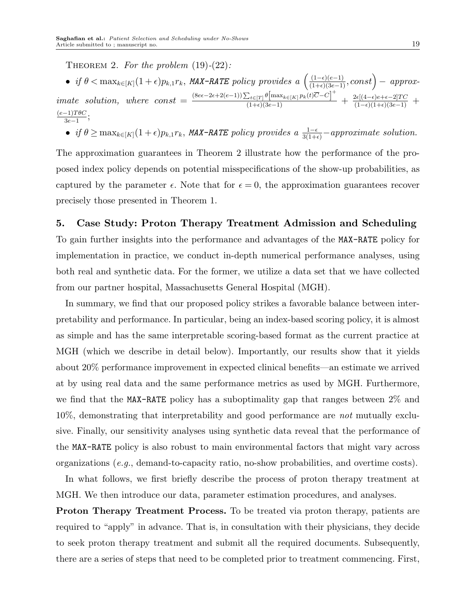THEOREM 2. For the problem  $(19)-(22)$ :

• if 
$$
\theta < \max_{k \in [K]} (1 + \epsilon) p_{k,1} r_k
$$
, MAX-RATE policy provides a  $\left( \frac{(1 - \epsilon)(e - 1)}{(1 + \epsilon)(3e - 1)}, \text{const} \right) - \text{approx-}$  *imate solution, where const* =  $\frac{(8e\epsilon - 2\epsilon + 2(e-1))\sum_{t \in [T]} \theta[\max_{k \in [K]} p_k(t)\overline{C} - C]^+}{(1 + \epsilon)(3e - 1)} + \frac{2\epsilon[(4 - \epsilon)e + \epsilon - 2]TC}{(1 - \epsilon)(1 + \epsilon)(3e - 1)} + \frac{(e-1)T\theta C}{3e-1};$ 

• if  $\theta \ge \max_{k \in [K]} (1+\epsilon)p_{k,1}r_k$ , MAX-RATE policy provides a  $\frac{1-\epsilon}{3(1+\epsilon)}$  -approximate solution.

The approximation guarantees in Theorem 2 illustrate how the performance of the proposed index policy depends on potential misspecifications of the show-up probabilities, as captured by the parameter  $\epsilon$ . Note that for  $\epsilon = 0$ , the approximation guarantees recover precisely those presented in Theorem 1.

## 5. Case Study: Proton Therapy Treatment Admission and Scheduling

To gain further insights into the performance and advantages of the MAX-RATE policy for implementation in practice, we conduct in-depth numerical performance analyses, using both real and synthetic data. For the former, we utilize a data set that we have collected from our partner hospital, Massachusetts General Hospital (MGH).

In summary, we find that our proposed policy strikes a favorable balance between interpretability and performance. In particular, being an index-based scoring policy, it is almost as simple and has the same interpretable scoring-based format as the current practice at MGH (which we describe in detail below). Importantly, our results show that it yields about 20% performance improvement in expected clinical benefits—an estimate we arrived at by using real data and the same performance metrics as used by MGH. Furthermore, we find that the MAX-RATE policy has a suboptimality gap that ranges between 2% and 10%, demonstrating that interpretability and good performance are not mutually exclusive. Finally, our sensitivity analyses using synthetic data reveal that the performance of the MAX-RATE policy is also robust to main environmental factors that might vary across organizations (e.g., demand-to-capacity ratio, no-show probabilities, and overtime costs).

In what follows, we first briefly describe the process of proton therapy treatment at MGH. We then introduce our data, parameter estimation procedures, and analyses.

Proton Therapy Treatment Process. To be treated via proton therapy, patients are required to "apply" in advance. That is, in consultation with their physicians, they decide to seek proton therapy treatment and submit all the required documents. Subsequently, there are a series of steps that need to be completed prior to treatment commencing. First,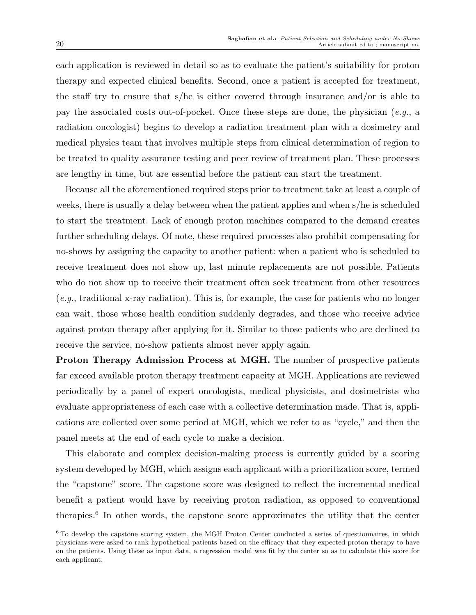each application is reviewed in detail so as to evaluate the patient's suitability for proton therapy and expected clinical benefits. Second, once a patient is accepted for treatment, the staff try to ensure that s/he is either covered through insurance and/or is able to pay the associated costs out-of-pocket. Once these steps are done, the physician  $(e.g., a$ radiation oncologist) begins to develop a radiation treatment plan with a dosimetry and medical physics team that involves multiple steps from clinical determination of region to be treated to quality assurance testing and peer review of treatment plan. These processes are lengthy in time, but are essential before the patient can start the treatment.

Because all the aforementioned required steps prior to treatment take at least a couple of weeks, there is usually a delay between when the patient applies and when s/he is scheduled to start the treatment. Lack of enough proton machines compared to the demand creates further scheduling delays. Of note, these required processes also prohibit compensating for no-shows by assigning the capacity to another patient: when a patient who is scheduled to receive treatment does not show up, last minute replacements are not possible. Patients who do not show up to receive their treatment often seek treatment from other resources  $(e.g.,$  traditional x-ray radiation). This is, for example, the case for patients who no longer can wait, those whose health condition suddenly degrades, and those who receive advice against proton therapy after applying for it. Similar to those patients who are declined to receive the service, no-show patients almost never apply again.

Proton Therapy Admission Process at MGH. The number of prospective patients far exceed available proton therapy treatment capacity at MGH. Applications are reviewed periodically by a panel of expert oncologists, medical physicists, and dosimetrists who evaluate appropriateness of each case with a collective determination made. That is, applications are collected over some period at MGH, which we refer to as "cycle," and then the panel meets at the end of each cycle to make a decision.

This elaborate and complex decision-making process is currently guided by a scoring system developed by MGH, which assigns each applicant with a prioritization score, termed the "capstone" score. The capstone score was designed to reflect the incremental medical benefit a patient would have by receiving proton radiation, as opposed to conventional therapies.<sup>6</sup> In other words, the capstone score approximates the utility that the center

<sup>&</sup>lt;sup>6</sup> To develop the capstone scoring system, the MGH Proton Center conducted a series of questionnaires, in which physicians were asked to rank hypothetical patients based on the efficacy that they expected proton therapy to have on the patients. Using these as input data, a regression model was fit by the center so as to calculate this score for each applicant.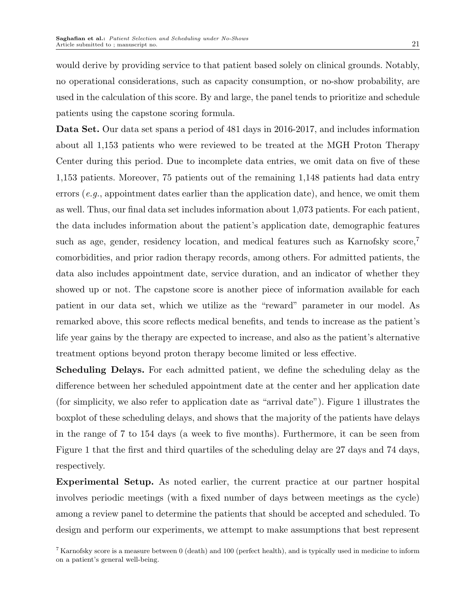would derive by providing service to that patient based solely on clinical grounds. Notably, no operational considerations, such as capacity consumption, or no-show probability, are used in the calculation of this score. By and large, the panel tends to prioritize and schedule patients using the capstone scoring formula.

Data Set. Our data set spans a period of 481 days in 2016-2017, and includes information about all 1,153 patients who were reviewed to be treated at the MGH Proton Therapy Center during this period. Due to incomplete data entries, we omit data on five of these 1,153 patients. Moreover, 75 patients out of the remaining 1,148 patients had data entry errors  $(e, q, z)$ , appointment dates earlier than the application date), and hence, we omit them as well. Thus, our final data set includes information about 1,073 patients. For each patient, the data includes information about the patient's application date, demographic features such as age, gender, residency location, and medical features such as Karnofsky score,<sup>7</sup> comorbidities, and prior radion therapy records, among others. For admitted patients, the data also includes appointment date, service duration, and an indicator of whether they showed up or not. The capstone score is another piece of information available for each patient in our data set, which we utilize as the "reward" parameter in our model. As remarked above, this score reflects medical benefits, and tends to increase as the patient's life year gains by the therapy are expected to increase, and also as the patient's alternative treatment options beyond proton therapy become limited or less effective.

Scheduling Delays. For each admitted patient, we define the scheduling delay as the difference between her scheduled appointment date at the center and her application date (for simplicity, we also refer to application date as "arrival date"). Figure 1 illustrates the boxplot of these scheduling delays, and shows that the majority of the patients have delays in the range of 7 to 154 days (a week to five months). Furthermore, it can be seen from Figure 1 that the first and third quartiles of the scheduling delay are 27 days and 74 days, respectively.

Experimental Setup. As noted earlier, the current practice at our partner hospital involves periodic meetings (with a fixed number of days between meetings as the cycle) among a review panel to determine the patients that should be accepted and scheduled. To design and perform our experiments, we attempt to make assumptions that best represent

 $7$  Karnofsky score is a measure between 0 (death) and 100 (perfect health), and is typically used in medicine to inform on a patient's general well-being.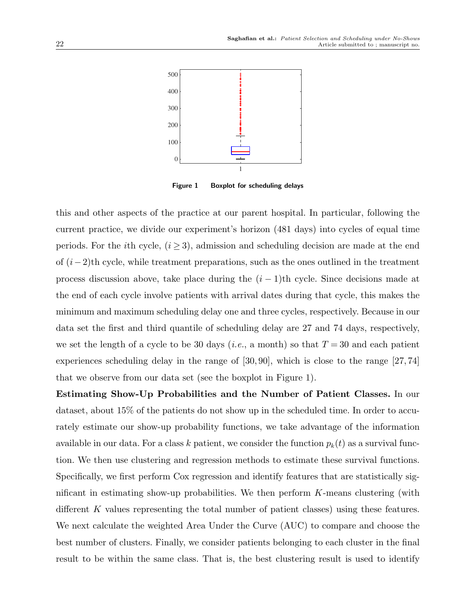

Figure 1 Boxplot for scheduling delays

this and other aspects of the practice at our parent hospital. In particular, following the current practice, we divide our experiment's horizon (481 days) into cycles of equal time periods. For the *i*th cycle,  $(i \geq 3)$ , admission and scheduling decision are made at the end of  $(i-2)$ th cycle, while treatment preparations, such as the ones outlined in the treatment process discussion above, take place during the  $(i - 1)$ th cycle. Since decisions made at the end of each cycle involve patients with arrival dates during that cycle, this makes the minimum and maximum scheduling delay one and three cycles, respectively. Because in our data set the first and third quantile of scheduling delay are 27 and 74 days, respectively, we set the length of a cycle to be 30 days (*i.e.*, a month) so that  $T = 30$  and each patient experiences scheduling delay in the range of [30, 90], which is close to the range [27, 74] that we observe from our data set (see the boxplot in Figure 1).

Estimating Show-Up Probabilities and the Number of Patient Classes. In our dataset, about 15% of the patients do not show up in the scheduled time. In order to accurately estimate our show-up probability functions, we take advantage of the information available in our data. For a class k patient, we consider the function  $p_k(t)$  as a survival function. We then use clustering and regression methods to estimate these survival functions. Specifically, we first perform Cox regression and identify features that are statistically significant in estimating show-up probabilities. We then perform  $K$ -means clustering (with different K values representing the total number of patient classes) using these features. We next calculate the weighted Area Under the Curve (AUC) to compare and choose the best number of clusters. Finally, we consider patients belonging to each cluster in the final result to be within the same class. That is, the best clustering result is used to identify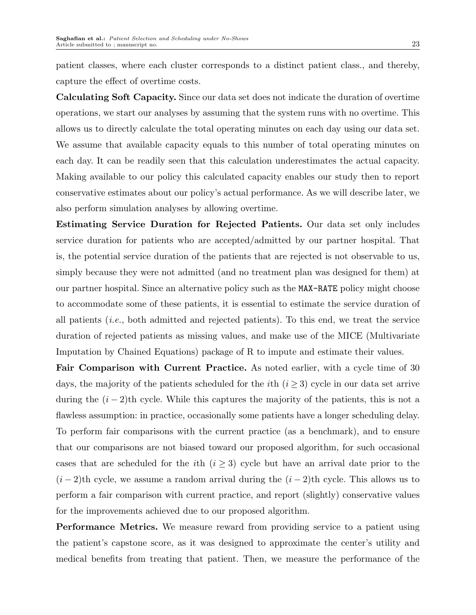patient classes, where each cluster corresponds to a distinct patient class., and thereby, capture the effect of overtime costs.

Calculating Soft Capacity. Since our data set does not indicate the duration of overtime operations, we start our analyses by assuming that the system runs with no overtime. This allows us to directly calculate the total operating minutes on each day using our data set. We assume that available capacity equals to this number of total operating minutes on each day. It can be readily seen that this calculation underestimates the actual capacity. Making available to our policy this calculated capacity enables our study then to report conservative estimates about our policy's actual performance. As we will describe later, we also perform simulation analyses by allowing overtime.

Estimating Service Duration for Rejected Patients. Our data set only includes service duration for patients who are accepted/admitted by our partner hospital. That is, the potential service duration of the patients that are rejected is not observable to us, simply because they were not admitted (and no treatment plan was designed for them) at our partner hospital. Since an alternative policy such as the MAX-RATE policy might choose to accommodate some of these patients, it is essential to estimate the service duration of all patients (i.e., both admitted and rejected patients). To this end, we treat the service duration of rejected patients as missing values, and make use of the MICE (Multivariate Imputation by Chained Equations) package of R to impute and estimate their values.

Fair Comparison with Current Practice. As noted earlier, with a cycle time of 30 days, the majority of the patients scheduled for the *i*th  $(i \geq 3)$  cycle in our data set arrive during the  $(i-2)$ th cycle. While this captures the majority of the patients, this is not a flawless assumption: in practice, occasionally some patients have a longer scheduling delay. To perform fair comparisons with the current practice (as a benchmark), and to ensure that our comparisons are not biased toward our proposed algorithm, for such occasional cases that are scheduled for the *i*th  $(i \geq 3)$  cycle but have an arrival date prior to the  $(i-2)$ th cycle, we assume a random arrival during the  $(i-2)$ th cycle. This allows us to perform a fair comparison with current practice, and report (slightly) conservative values for the improvements achieved due to our proposed algorithm.

Performance Metrics. We measure reward from providing service to a patient using the patient's capstone score, as it was designed to approximate the center's utility and medical benefits from treating that patient. Then, we measure the performance of the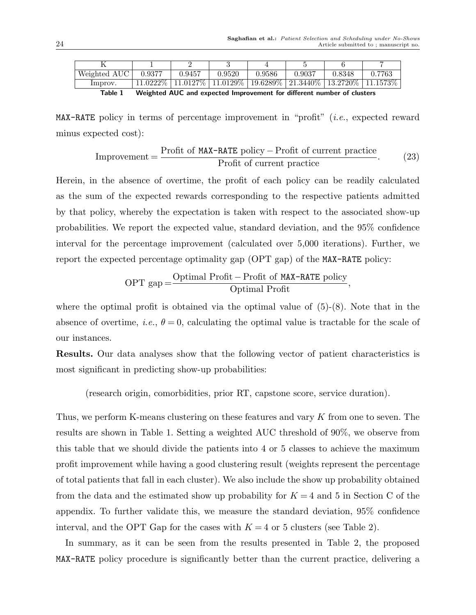| Weighted AUC | 0.9377 | 0.9457                                                                                                                      | 0.9520 | 0.9586 | 0.9037 | 0.8348 | 0.7763 |
|--------------|--------|-----------------------------------------------------------------------------------------------------------------------------|--------|--------|--------|--------|--------|
| Improv.      |        | $\frac{11.0222\% \mid 11.0127\% \mid 11.0129\% \mid 19.6289\% \mid 21.3440\% \mid 13.2720\% \mid 11.1573\% \}$              |        |        |        |        |        |
| -            |        | $\mathcal{M}$ is a set of $\mathcal{M}$ in the set of $\mathcal{M}$ is the set of $\mathcal{M}$ in the set of $\mathcal{M}$ |        |        |        |        |        |

Table 1 Weighted AUC and expected Improvement for different number of clusters

MAX-RATE policy in terms of percentage improvement in "profit" (i.e., expected reward minus expected cost):

$$
Improvement = \frac{Profit of MAX-RATE policy - Profit of current practice}{Profit of current practice}.
$$
 (23)

Herein, in the absence of overtime, the profit of each policy can be readily calculated as the sum of the expected rewards corresponding to the respective patients admitted by that policy, whereby the expectation is taken with respect to the associated show-up probabilities. We report the expected value, standard deviation, and the 95% confidence interval for the percentage improvement (calculated over 5,000 iterations). Further, we report the expected percentage optimality gap (OPT gap) of the MAX-RATE policy:

$$
OPT gap = \frac{Optimal Profit - Profit of MAX-RATE policy}{Optimal Profit},
$$

where the optimal profit is obtained via the optimal value of  $(5)-(8)$ . Note that in the absence of overtime, *i.e.*,  $\theta = 0$ , calculating the optimal value is tractable for the scale of our instances.

Results. Our data analyses show that the following vector of patient characteristics is most significant in predicting show-up probabilities:

(research origin, comorbidities, prior RT, capstone score, service duration).

Thus, we perform K-means clustering on these features and vary K from one to seven. The results are shown in Table 1. Setting a weighted AUC threshold of 90%, we observe from this table that we should divide the patients into 4 or 5 classes to achieve the maximum profit improvement while having a good clustering result (weights represent the percentage of total patients that fall in each cluster). We also include the show up probability obtained from the data and the estimated show up probability for  $K = 4$  and 5 in Section C of the appendix. To further validate this, we measure the standard deviation, 95% confidence interval, and the OPT Gap for the cases with  $K = 4$  or 5 clusters (see Table 2).

In summary, as it can be seen from the results presented in Table 2, the proposed MAX-RATE policy procedure is significantly better than the current practice, delivering a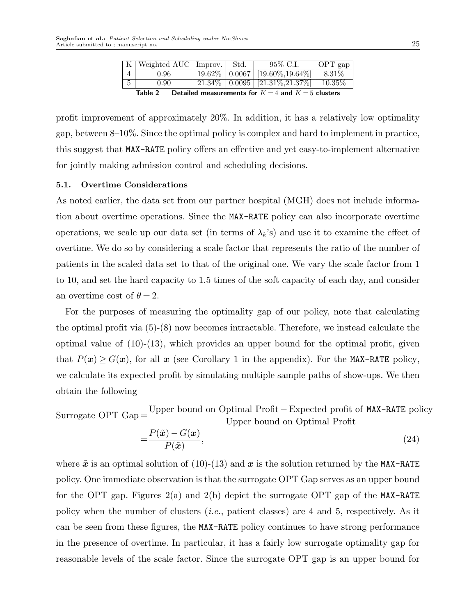|           | K   Weighted AUC   Improv.                                   | - Std. |  | 95\% C.I.                                        | $\overline{OPT}$ gap |  |  |
|-----------|--------------------------------------------------------------|--------|--|--------------------------------------------------|----------------------|--|--|
|           | 0.96                                                         |        |  | $19.62\%$   0.0067   [19.60\%,19.64\%]           | $8.31\%$             |  |  |
| 5<br>0.90 |                                                              |        |  | $21.34\%$   0.0095   [21.31\%,21.37\%]   10.35\% |                      |  |  |
|           | Detailed measurements for $K-4$ and $K-5$ clusters<br>2 Ahlo |        |  |                                                  |                      |  |  |

Jetailed measurements for  $K = 4$  and  $K = 5$  clusters

profit improvement of approximately 20%. In addition, it has a relatively low optimality gap, between 8–10%. Since the optimal policy is complex and hard to implement in practice, this suggest that MAX-RATE policy offers an effective and yet easy-to-implement alternative for jointly making admission control and scheduling decisions.

#### 5.1. Overtime Considerations

As noted earlier, the data set from our partner hospital (MGH) does not include information about overtime operations. Since the MAX-RATE policy can also incorporate overtime operations, we scale up our data set (in terms of  $\lambda_k$ 's) and use it to examine the effect of overtime. We do so by considering a scale factor that represents the ratio of the number of patients in the scaled data set to that of the original one. We vary the scale factor from 1 to 10, and set the hard capacity to 1.5 times of the soft capacity of each day, and consider an overtime cost of  $\theta = 2$ .

For the purposes of measuring the optimality gap of our policy, note that calculating the optimal profit via (5)-(8) now becomes intractable. Therefore, we instead calculate the optimal value of  $(10)-(13)$ , which provides an upper bound for the optimal profit, given that  $P(x) \ge G(x)$ , for all x (see Corollary 1 in the appendix). For the MAX-RATE policy, we calculate its expected profit by simulating multiple sample paths of show-ups. We then obtain the following

Surrogate OPT Gap  $=\frac{\text{Upper bound on Optimal Profit}-\text{Expected profit of MAX-RATE policy}}{\text{Linear bound on Optimal Profit}}$ Upper bound on Optimal Profit  $P(\tilde{\bm{x}}) - G(\bm{x})$ 

$$
=\frac{P(\mathbf{x}) - G(\mathbf{x})}{P(\tilde{\mathbf{x}})},\tag{24}
$$

where  $\tilde{x}$  is an optimal solution of (10)-(13) and x is the solution returned by the MAX-RATE policy. One immediate observation is that the surrogate OPT Gap serves as an upper bound for the OPT gap. Figures  $2(a)$  and  $2(b)$  depict the surrogate OPT gap of the MAX-RATE policy when the number of clusters (*i.e.*, patient classes) are 4 and 5, respectively. As it can be seen from these figures, the MAX-RATE policy continues to have strong performance in the presence of overtime. In particular, it has a fairly low surrogate optimality gap for reasonable levels of the scale factor. Since the surrogate OPT gap is an upper bound for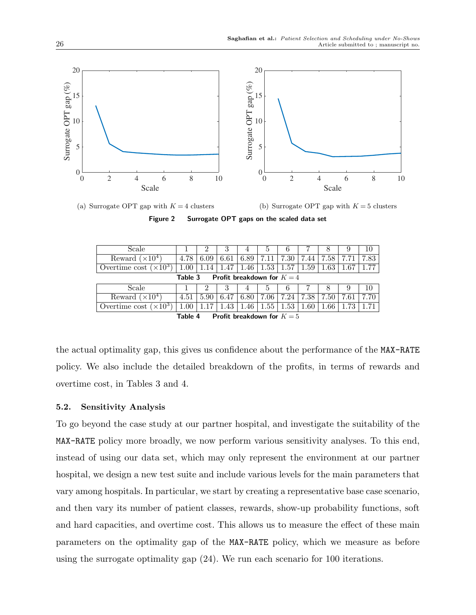

(a) Surrogate OPT gap with  $K = 4$  clusters

(b) Surrogate OPT gap with  $K = 5$  clusters

Figure 2 Surrogate OPT gaps on the scaled data set

|                                       |      | 3    | 4    |      | b    |      | 8    |      | 10           |
|---------------------------------------|------|------|------|------|------|------|------|------|--------------|
| 4.78                                  | 6.09 | 6.61 | 6.89 | 7.11 | 7.30 | 7.44 | 7.58 | 7.71 | 7.83         |
| 1.00                                  | .14  | .47  | 1.46 | 1.53 | 1.57 | 1.59 | 1.63 | 1.67 | 1.771        |
| Profit breakdown for $K=4$<br>Table 3 |      |      |      |      |      |      |      |      |              |
|                                       |      |      | 4    |      |      |      |      |      | 10           |
| 4.51                                  | 5.90 | 6.47 | 6.80 | 7.06 | 7.24 | 7.38 | 7.50 | 7.61 | $7.70 \perp$ |
| 1.00                                  |      | .43  | 1.46 | 1.55 | 1.53 | 1.60 | 1.66 | 73   | 71           |
|                                       |      |      |      |      |      |      |      |      |              |

Table 4  $\;$  Profit breakdown for  $K\!=\!5$ 

the actual optimality gap, this gives us confidence about the performance of the MAX-RATE policy. We also include the detailed breakdown of the profits, in terms of rewards and overtime cost, in Tables 3 and 4.

## 5.2. Sensitivity Analysis

To go beyond the case study at our partner hospital, and investigate the suitability of the MAX-RATE policy more broadly, we now perform various sensitivity analyses. To this end, instead of using our data set, which may only represent the environment at our partner hospital, we design a new test suite and include various levels for the main parameters that vary among hospitals. In particular, we start by creating a representative base case scenario, and then vary its number of patient classes, rewards, show-up probability functions, soft and hard capacities, and overtime cost. This allows us to measure the effect of these main parameters on the optimality gap of the MAX-RATE policy, which we measure as before using the surrogate optimality gap (24). We run each scenario for 100 iterations.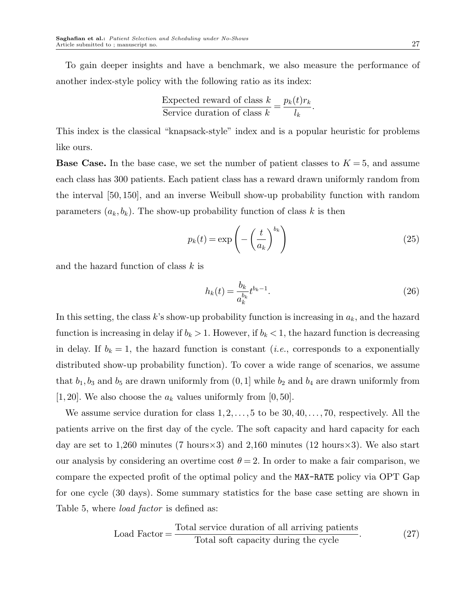To gain deeper insights and have a benchmark, we also measure the performance of another index-style policy with the following ratio as its index:

Expected reward of class 
$$
k = \frac{p_k(t)r_k}{l_k}
$$
.  
Service duration of class  $k = \frac{l_k}{l_k}$ .

This index is the classical "knapsack-style" index and is a popular heuristic for problems like ours.

**Base Case.** In the base case, we set the number of patient classes to  $K = 5$ , and assume each class has 300 patients. Each patient class has a reward drawn uniformly random from the interval [50, 150], and an inverse Weibull show-up probability function with random parameters  $(a_k, b_k)$ . The show-up probability function of class k is then

$$
p_k(t) = \exp\left(-\left(\frac{t}{a_k}\right)^{b_k}\right) \tag{25}
$$

and the hazard function of class k is

$$
h_k(t) = \frac{b_k}{a_k^{b_k}} t^{b_k - 1}.
$$
\n(26)

In this setting, the class  $k$ 's show-up probability function is increasing in  $a_k$ , and the hazard function is increasing in delay if  $b_k > 1$ . However, if  $b_k < 1$ , the hazard function is decreasing in delay. If  $b_k = 1$ , the hazard function is constant *(i.e., corresponds to a exponentially* distributed show-up probability function). To cover a wide range of scenarios, we assume that  $b_1, b_3$  and  $b_5$  are drawn uniformly from  $(0, 1]$  while  $b_2$  and  $b_4$  are drawn uniformly from [1, 20]. We also choose the  $a_k$  values uniformly from [0, 50].

We assume service duration for class  $1, 2, \ldots, 5$  to be  $30, 40, \ldots, 70$ , respectively. All the patients arrive on the first day of the cycle. The soft capacity and hard capacity for each day are set to 1,260 minutes (7 hours  $\times$ 3) and 2,160 minutes (12 hours  $\times$ 3). We also start our analysis by considering an overtime cost  $\theta = 2$ . In order to make a fair comparison, we compare the expected profit of the optimal policy and the MAX-RATE policy via OPT Gap for one cycle (30 days). Some summary statistics for the base case setting are shown in Table 5, where *load factor* is defined as:

$$
Load Factor = \frac{Total service duration of all arriving patients}{Total soft capacity during the cycle}.
$$
\n(27)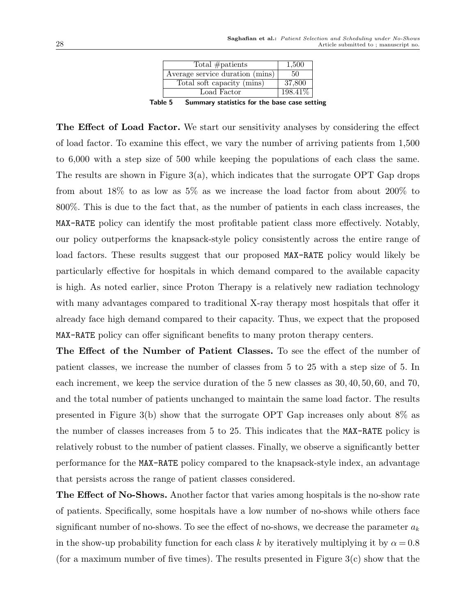| Total $#$ patients                                 | 1,500    |  |  |  |  |  |
|----------------------------------------------------|----------|--|--|--|--|--|
| Average service duration (mins)                    | 50       |  |  |  |  |  |
| Total soft capacity (mins)                         | 37,800   |  |  |  |  |  |
| Load Factor                                        | 198.41\% |  |  |  |  |  |
| hla 5<br>Summary statistics for the hase case set: |          |  |  |  |  |  |

Table 5 Summary statistics for the base case setting

The Effect of Load Factor. We start our sensitivity analyses by considering the effect of load factor. To examine this effect, we vary the number of arriving patients from 1,500 to 6,000 with a step size of 500 while keeping the populations of each class the same. The results are shown in Figure  $3(a)$ , which indicates that the surrogate OPT Gap drops from about 18% to as low as 5% as we increase the load factor from about 200% to 800%. This is due to the fact that, as the number of patients in each class increases, the MAX-RATE policy can identify the most profitable patient class more effectively. Notably, our policy outperforms the knapsack-style policy consistently across the entire range of load factors. These results suggest that our proposed MAX-RATE policy would likely be particularly effective for hospitals in which demand compared to the available capacity is high. As noted earlier, since Proton Therapy is a relatively new radiation technology with many advantages compared to traditional X-ray therapy most hospitals that offer it already face high demand compared to their capacity. Thus, we expect that the proposed MAX-RATE policy can offer significant benefits to many proton therapy centers.

The Effect of the Number of Patient Classes. To see the effect of the number of patient classes, we increase the number of classes from 5 to 25 with a step size of 5. In each increment, we keep the service duration of the 5 new classes as 30, 40, 50, 60, and 70, and the total number of patients unchanged to maintain the same load factor. The results presented in Figure 3(b) show that the surrogate OPT Gap increases only about 8% as the number of classes increases from 5 to 25. This indicates that the MAX-RATE policy is relatively robust to the number of patient classes. Finally, we observe a significantly better performance for the MAX-RATE policy compared to the knapsack-style index, an advantage that persists across the range of patient classes considered.

The Effect of No-Shows. Another factor that varies among hospitals is the no-show rate of patients. Specifically, some hospitals have a low number of no-shows while others face significant number of no-shows. To see the effect of no-shows, we decrease the parameter  $a_k$ in the show-up probability function for each class k by iteratively multiplying it by  $\alpha = 0.8$ (for a maximum number of five times). The results presented in Figure  $3(c)$  show that the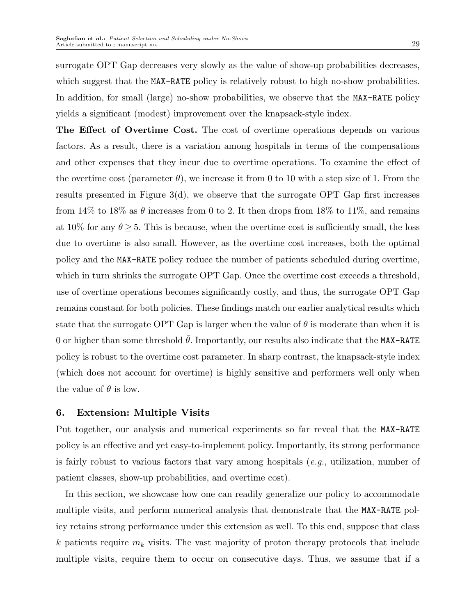surrogate OPT Gap decreases very slowly as the value of show-up probabilities decreases, which suggest that the MAX-RATE policy is relatively robust to high no-show probabilities. In addition, for small (large) no-show probabilities, we observe that the MAX-RATE policy yields a significant (modest) improvement over the knapsack-style index.

The Effect of Overtime Cost. The cost of overtime operations depends on various factors. As a result, there is a variation among hospitals in terms of the compensations and other expenses that they incur due to overtime operations. To examine the effect of the overtime cost (parameter  $\theta$ ), we increase it from 0 to 10 with a step size of 1. From the results presented in Figure 3(d), we observe that the surrogate OPT Gap first increases from 14% to 18% as  $\theta$  increases from 0 to 2. It then drops from 18% to 11%, and remains at 10% for any  $\theta \geq 5$ . This is because, when the overtime cost is sufficiently small, the loss due to overtime is also small. However, as the overtime cost increases, both the optimal policy and the MAX-RATE policy reduce the number of patients scheduled during overtime, which in turn shrinks the surrogate OPT Gap. Once the overtime cost exceeds a threshold, use of overtime operations becomes significantly costly, and thus, the surrogate OPT Gap remains constant for both policies. These findings match our earlier analytical results which state that the surrogate OPT Gap is larger when the value of  $\theta$  is moderate than when it is 0 or higher than some threshold  $\bar{\theta}$ . Importantly, our results also indicate that the MAX-RATE policy is robust to the overtime cost parameter. In sharp contrast, the knapsack-style index (which does not account for overtime) is highly sensitive and performers well only when the value of  $\theta$  is low.

## 6. Extension: Multiple Visits

Put together, our analysis and numerical experiments so far reveal that the MAX-RATE policy is an effective and yet easy-to-implement policy. Importantly, its strong performance is fairly robust to various factors that vary among hospitals  $(e.g.,$  utilization, number of patient classes, show-up probabilities, and overtime cost).

In this section, we showcase how one can readily generalize our policy to accommodate multiple visits, and perform numerical analysis that demonstrate that the MAX-RATE policy retains strong performance under this extension as well. To this end, suppose that class k patients require  $m_k$  visits. The vast majority of proton therapy protocols that include multiple visits, require them to occur on consecutive days. Thus, we assume that if a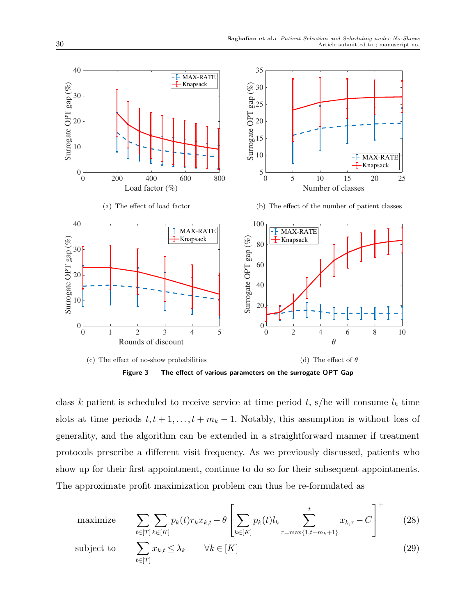

class k patient is scheduled to receive service at time period t, s/he will consume  $l_k$  time slots at time periods  $t, t + 1, \ldots, t + m_k - 1$ . Notably, this assumption is without loss of generality, and the algorithm can be extended in a straightforward manner if treatment protocols prescribe a different visit frequency. As we previously discussed, patients who show up for their first appointment, continue to do so for their subsequent appointments. The approximate profit maximization problem can thus be re-formulated as

maximize 
$$
\sum_{t \in [T]} \sum_{k \in [K]} p_k(t) r_k x_{k,t} - \theta \left[ \sum_{k \in [K]} p_k(t) l_k \sum_{\tau = \max\{1, t - m_k + 1\}}^t x_{k,\tau} - C \right]^+
$$
(28)  
subject to 
$$
\sum_{t \in [T]} x_{k,t} \leq \lambda_k \qquad \forall k \in [K]
$$
(29)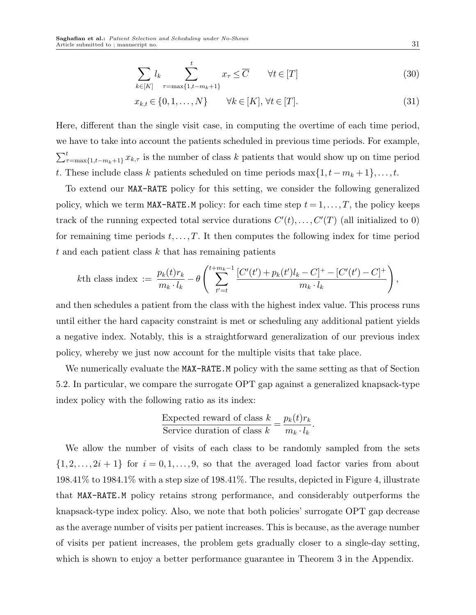$$
\sum_{k \in [K]} l_k \sum_{\tau = \max\{1, t - m_k + 1\}}^t x_\tau \leq \overline{C} \qquad \forall t \in [T]
$$
\n(30)

$$
x_{k,t} \in \{0, 1, \dots, N\} \qquad \forall k \in [K], \forall t \in [T]. \tag{31}
$$

Here, different than the single visit case, in computing the overtime of each time period, we have to take into account the patients scheduled in previous time periods. For example,  $\sum_{\tau=\max\{1,t-m_k+1\}}^{t} x_{k,\tau}$  is the number of class k patients that would show up on time period t. These include class k patients scheduled on time periods  $\max\{1, t - m_k + 1\}, \ldots, t$ .

To extend our MAX-RATE policy for this setting, we consider the following generalized policy, which we term MAX-RATE.M policy: for each time step  $t = 1, \ldots, T$ , the policy keeps track of the running expected total service durations  $C'(t), \ldots, C'(T)$  (all initialized to 0) for remaining time periods  $t, \ldots, T$ . It then computes the following index for time period  $t$  and each patient class  $k$  that has remaining patients

$$
k\text{th class index} := \frac{p_k(t)r_k}{m_k \cdot l_k} - \theta \left( \sum_{t'=t}^{t+m_k-1} \frac{[C'(t')+p_k(t')l_k - C]^+ - [C'(t')-C]^+}{m_k \cdot l_k} \right),
$$

and then schedules a patient from the class with the highest index value. This process runs until either the hard capacity constraint is met or scheduling any additional patient yields a negative index. Notably, this is a straightforward generalization of our previous index policy, whereby we just now account for the multiple visits that take place.

We numerically evaluate the MAX-RATE.M policy with the same setting as that of Section 5.2. In particular, we compare the surrogate OPT gap against a generalized knapsack-type index policy with the following ratio as its index:

Expected reward of class 
$$
k = \frac{p_k(t)r_k}{p_k \cdot l_k}
$$
.

We allow the number of visits of each class to be randomly sampled from the sets  $\{1, 2, \ldots, 2i + 1\}$  for  $i = 0, 1, \ldots, 9$ , so that the averaged load factor varies from about 198.41% to 1984.1% with a step size of 198.41%. The results, depicted in Figure 4, illustrate that MAX-RATE.M policy retains strong performance, and considerably outperforms the knapsack-type index policy. Also, we note that both policies' surrogate OPT gap decrease as the average number of visits per patient increases. This is because, as the average number of visits per patient increases, the problem gets gradually closer to a single-day setting, which is shown to enjoy a better performance guarantee in Theorem 3 in the Appendix.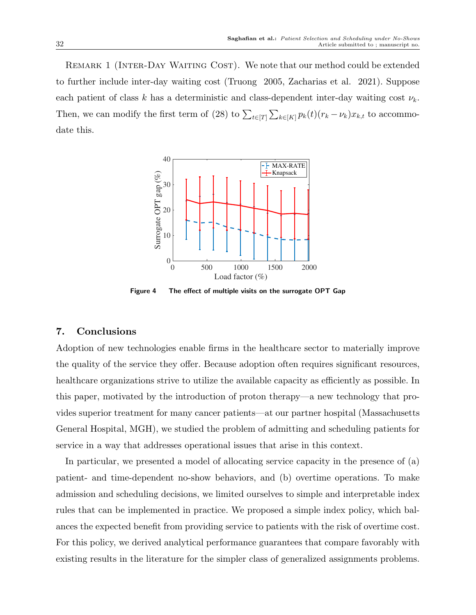Remark 1 (Inter-Day Waiting Cost). We note that our method could be extended to further include inter-day waiting cost (Truong 2005, Zacharias et al. 2021). Suppose each patient of class k has a deterministic and class-dependent inter-day waiting cost  $\nu_k$ . Then, we can modify the first term of (28) to  $\sum_{t\in[T]}\sum_{k\in[K]}p_k(t)(r_k-\nu_k)x_{k,t}$  to accommodate this.



Figure 4 The effect of multiple visits on the surrogate OPT Gap

#### 7. Conclusions

Adoption of new technologies enable firms in the healthcare sector to materially improve the quality of the service they offer. Because adoption often requires significant resources, healthcare organizations strive to utilize the available capacity as efficiently as possible. In this paper, motivated by the introduction of proton therapy—a new technology that provides superior treatment for many cancer patients—at our partner hospital (Massachusetts General Hospital, MGH), we studied the problem of admitting and scheduling patients for service in a way that addresses operational issues that arise in this context.

In particular, we presented a model of allocating service capacity in the presence of (a) patient- and time-dependent no-show behaviors, and (b) overtime operations. To make admission and scheduling decisions, we limited ourselves to simple and interpretable index rules that can be implemented in practice. We proposed a simple index policy, which balances the expected benefit from providing service to patients with the risk of overtime cost. For this policy, we derived analytical performance guarantees that compare favorably with existing results in the literature for the simpler class of generalized assignments problems.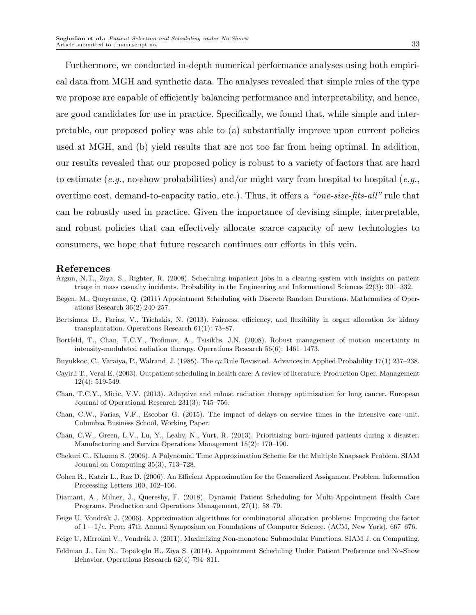Furthermore, we conducted in-depth numerical performance analyses using both empirical data from MGH and synthetic data. The analyses revealed that simple rules of the type we propose are capable of efficiently balancing performance and interpretability, and hence, are good candidates for use in practice. Specifically, we found that, while simple and interpretable, our proposed policy was able to (a) substantially improve upon current policies used at MGH, and (b) yield results that are not too far from being optimal. In addition, our results revealed that our proposed policy is robust to a variety of factors that are hard to estimate (e.g., no-show probabilities) and/or might vary from hospital to hospital (e.g., overtime cost, demand-to-capacity ratio, etc.). Thus, it offers a "one-size-fits-all" rule that can be robustly used in practice. Given the importance of devising simple, interpretable, and robust policies that can effectively allocate scarce capacity of new technologies to consumers, we hope that future research continues our efforts in this vein.

#### References

- Argon, N.T., Ziya, S., Righter, R. (2008). Scheduling impatient jobs in a clearing system with insights on patient triage in mass casualty incidents. Probability in the Engineering and Informational Sciences 22(3): 301–332.
- Begen, M., Queyranne, Q. (2011) Appointment Scheduling with Discrete Random Durations. Mathematics of Operations Research 36(2):240-257.
- Bertsimas, D., Farias, V., Trichakis, N. (2013). Fairness, efficiency, and flexibility in organ allocation for kidney transplantation. Operations Research 61(1): 73–87.
- Bortfeld, T., Chan, T.C.Y., Trofimov, A., Tsisiklis, J.N. (2008). Robust management of motion uncertainty in intensity-modulated radiation therapy. Operations Research 56(6): 1461–1473.
- Buyukkoc, C., Varaiya, P., Walrand, J. (1985). The  $c\mu$  Rule Revisited. Advances in Applied Probability 17(1) 237–238.
- Cayirli T., Veral E. (2003). Outpatient scheduling in health care: A review of literature. Production Oper. Management 12(4): 519-549.
- Chan, T.C.Y., Micic, V.V. (2013). Adaptive and robust radiation therapy optimization for lung cancer. European Journal of Operational Research 231(3): 745–756.
- Chan, C.W., Farias, V.F., Escobar G. (2015). The impact of delays on service times in the intensive care unit. Columbia Business School, Working Paper.
- Chan, C.W., Green, L.V., Lu, Y., Leahy, N., Yurt, R. (2013). Prioritizing burn-injured patients during a disaster. Manufacturing and Service Operations Management 15(2): 170–190.
- Chekuri C., Khanna S. (2006). A Polynomial Time Approximation Scheme for the Multiple Knapsack Problem. SIAM Journal on Computing 35(3), 713–728.
- Cohen R., Katzir L., Raz D. (2006). An Efficient Approximation for the Generalized Assignment Problem. Information Processing Letters 100, 162–166.
- Diamant, A., Milner, J., Quereshy, F. (2018). Dynamic Patient Scheduling for Multi-Appointment Health Care Programs. Production and Operations Management, 27(1), 58–79.
- Feige U, Vondrák J. (2006). Approximation algorithms for combinatorial allocation problems: Improving the factor of 1 − 1/e. Proc. 47th Annual Symposium on Foundations of Computer Science. (ACM, New York), 667–676.
- Feige U, Mirrokni V., Vondrák J. (2011). Maximizing Non-monotone Submodular Functions. SIAM J. on Computing.
- Feldman J., Liu N., Topaloglu H., Ziya S. (2014). Appointment Scheduling Under Patient Preference and No-Show Behavior. Operations Research 62(4) 794–811.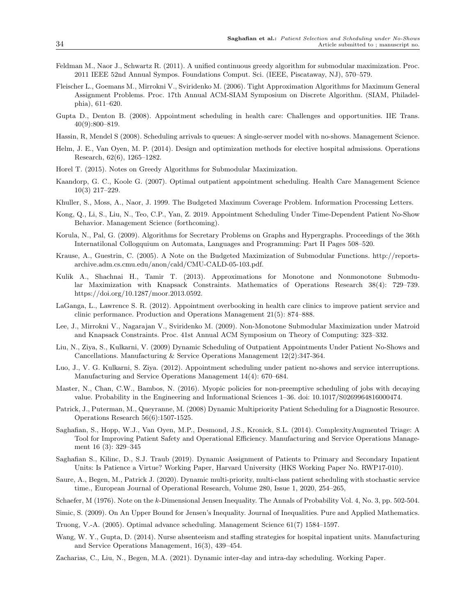- Feldman M., Naor J., Schwartz R. (2011). A unified continuous greedy algorithm for submodular maximization. Proc. 2011 IEEE 52nd Annual Sympos. Foundations Comput. Sci. (IEEE, Piscataway, NJ), 570–579.
- Fleischer L., Goemans M., Mirrokni V., Sviridenko M. (2006). Tight Approximation Algorithms for Maximum General Assignment Problems. Proc. 17th Annual ACM-SIAM Symposium on Discrete Algorithm. (SIAM, Philadelphia), 611–620.
- Gupta D., Denton B. (2008). Appointment scheduling in health care: Challenges and opportunities. IIE Trans. 40(9):800–819.
- Hassin, R, Mendel S (2008). Scheduling arrivals to queues: A single-server model with no-shows. Management Science.
- Helm, J. E., Van Oyen, M. P. (2014). Design and optimization methods for elective hospital admissions. Operations Research, 62(6), 1265–1282.
- Horel T. (2015). Notes on Greedy Algorithms for Submodular Maximization.
- Kaandorp, G. C., Koole G. (2007). Optimal outpatient appointment scheduling. Health Care Management Science 10(3) 217–229.
- Khuller, S., Moss, A., Naor, J. 1999. The Budgeted Maximum Coverage Problem. Information Processing Letters.
- Kong, Q., Li, S., Liu, N., Teo, C.P., Yan, Z. 2019. Appointment Scheduling Under Time-Dependent Patient No-Show Behavior. Management Science (forthcoming).
- Korula, N., Pal, G. (2009). Algorithms for Secretary Problems on Graphs and Hypergraphs. Proceedings of the 36th Internatilonal Collogquium on Automata, Languages and Programming: Part II Pages 508–520.
- Krause, A., Guestrin, C. (2005). A Note on the Budgeted Maximization of Submodular Functions. http://reportsarchive.adm.cs.cmu.edu/anon/cald/CMU-CALD-05-103.pdf.
- Kulik A., Shachnai H., Tamir T. (2013). Approximations for Monotone and Nonmonotone Submodular Maximization with Knapsack Constraints. Mathematics of Operations Research 38(4): 729–739. https://doi.org/10.1287/moor.2013.0592.
- LaGanga, L., Lawrence S. R. (2012). Appointment overbooking in health care clinics to improve patient service and clinic performance. Production and Operations Management 21(5): 874–888.
- Lee, J., Mirrokni V., Nagarajan V., Sviridenko M. (2009). Non-Monotone Submodular Maximization under Matroid and Knapsack Constraints. Proc. 41st Annual ACM Symposium on Theory of Computing: 323–332.
- Liu, N., Ziya, S., Kulkarni, V. (2009) Dynamic Scheduling of Outpatient Appointments Under Patient No-Shows and Cancellations. Manufacturing & Service Operations Management 12(2):347-364.
- Luo, J., V. G. Kulkarni, S. Ziya. (2012). Appointment scheduling under patient no-shows and service interruptions. Manufacturing and Service Operations Management 14(4): 670–684.
- Master, N., Chan, C.W., Bambos, N. (2016). Myopic policies for non-preemptive scheduling of jobs with decaying value. Probability in the Engineering and Informational Sciences 1–36. doi: 10.1017/S0269964816000474.
- Patrick, J., Puterman, M., Queyranne, M. (2008) Dynamic Multipriority Patient Scheduling for a Diagnostic Resource. Operations Research 56(6):1507-1525.
- Saghafian, S., Hopp, W.J., Van Oyen, M.P., Desmond, J.S., Kronick, S.L. (2014). ComplexityAugmented Triage: A Tool for Improving Patient Safety and Operational Efficiency. Manufacturing and Service Operations Management 16 (3): 329–345
- Saghafian S., Kilinc, D., S.J. Traub (2019). Dynamic Assignment of Patients to Primary and Secondary Inpatient Units: Is Patience a Virtue? Working Paper, Harvard University (HKS Working Paper No. RWP17-010).
- Saure, A., Begen, M., Patrick J. (2020). Dynamic multi-priority, multi-class patient scheduling with stochastic service time., European Journal of Operational Research, Volume 280, Issue 1, 2020, 254–265,
- Schaefer, M (1976). Note on the k-Dimensional Jensen Inequality. The Annals of Probability Vol. 4, No. 3, pp. 502-504.
- Simic, S. (2009). On An Upper Bound for Jensen's Inequality. Journal of Inequalities. Pure and Applied Mathematics.
- Truong, V.-A. (2005). Optimal advance scheduling. Management Science 61(7) 1584–1597.
- Wang, W. Y., Gupta, D. (2014). Nurse absenteeism and staffing strategies for hospital inpatient units. Manufacturing and Service Operations Management, 16(3), 439–454.
- Zacharias, C., Liu, N., Begen, M.A. (2021). Dynamic inter-day and intra-day scheduling. Working Paper.